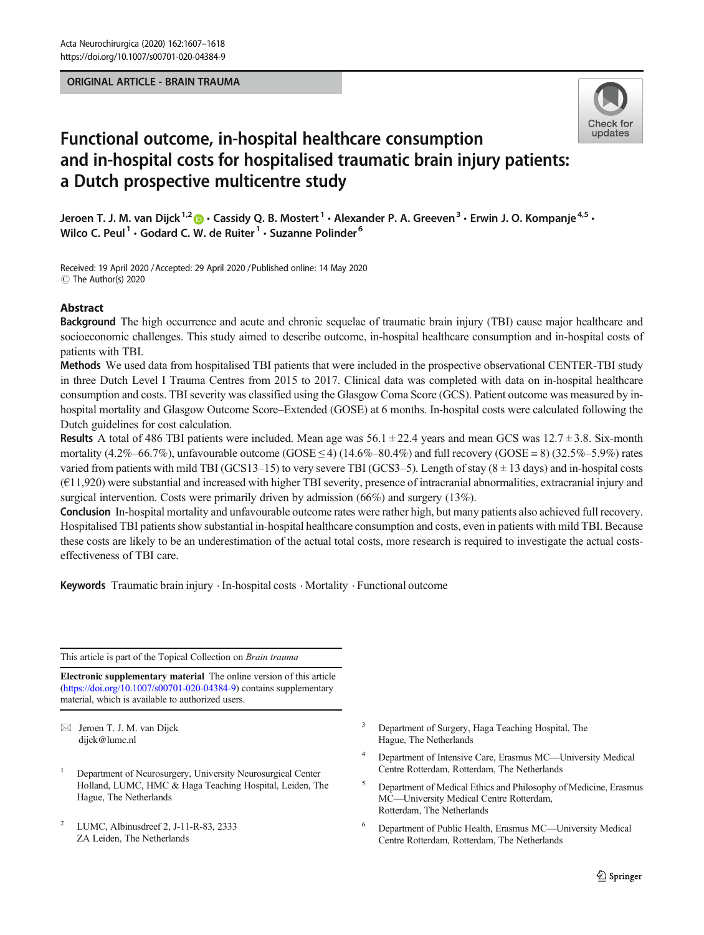# ORIGINAL ARTICLE - BRAIN TRAUMA



# Functional outcome, in-hospital healthcare consumption and in-hospital costs for hospitalised traumatic brain injury patients: a Dutch prospective multicentre study

Jeroen T. J. M. van Dijck<sup>1,2</sup>  $\bigcirc$  · Cassidy Q. B. Mostert <sup>1</sup> · Alexander P. A. Greeven<sup>3</sup> · Erwin J. O. Kompanje<sup>4,5</sup> · Wilco C. Peul<sup>1</sup>  $\cdot$  Godard C. W. de Ruiter<sup>1</sup>  $\cdot$  Suzanne Polinder<sup>6</sup>

 $\circledcirc$  The Author(s) 2020 Received: 19 April 2020 /Accepted: 29 April 2020 /Published online: 14 May 2020

# Abstract

Background The high occurrence and acute and chronic sequelae of traumatic brain injury (TBI) cause major healthcare and socioeconomic challenges. This study aimed to describe outcome, in-hospital healthcare consumption and in-hospital costs of patients with TBI.

Methods We used data from hospitalised TBI patients that were included in the prospective observational CENTER-TBI study in three Dutch Level I Trauma Centres from 2015 to 2017. Clinical data was completed with data on in-hospital healthcare consumption and costs. TBI severity was classified using the Glasgow Coma Score (GCS). Patient outcome was measured by inhospital mortality and Glasgow Outcome Score–Extended (GOSE) at 6 months. In-hospital costs were calculated following the Dutch guidelines for cost calculation.

**Results** A total of 486 TBI patients were included. Mean age was  $56.1 \pm 22.4$  years and mean GCS was  $12.7 \pm 3.8$ . Six-month mortality  $(4.2\% - 66.7\%)$ , unfavourable outcome  $(GOSE \le 4)$   $(14.6\% - 80.4\%)$  and full recovery  $(GOSE = 8)$   $(32.5\% - 5.9\%)$  rates varied from patients with mild TBI (GCS13–15) to very severe TBI (GCS3–5). Length of stay ( $8 \pm 13$  days) and in-hospital costs (€11,920) were substantial and increased with higher TBI severity, presence of intracranial abnormalities, extracranial injury and surgical intervention. Costs were primarily driven by admission (66%) and surgery (13%).

Conclusion In-hospital mortality and unfavourable outcome rates were rather high, but many patients also achieved full recovery. Hospitalised TBI patients show substantial in-hospital healthcare consumption and costs, even in patients with mild TBI. Because these costs are likely to be an underestimation of the actual total costs, more research is required to investigate the actual costseffectiveness of TBI care.

Keywords Traumatic brain injury . In-hospital costs . Mortality . Functional outcome

This article is part of the Topical Collection on Brain trauma

Electronic supplementary material The online version of this article ([https://doi.org/10.1007/s00701-020-04384-9\)](https://doi.org/10.1007/s00701-020-04384-9) contains supplementary material, which is available to authorized users.

 $\boxtimes$  Jeroen T. J. M. van Dijck [dijck@lumc.nl](mailto:dijck@lumc.nl)

- <sup>1</sup> Department of Neurosurgery, University Neurosurgical Center Holland, LUMC, HMC & Haga Teaching Hospital, Leiden, The Hague, The Netherlands
- <sup>2</sup> LUMC, Albinusdreef 2, J-11-R-83, 2333 ZA Leiden, The Netherlands
- <sup>3</sup> Department of Surgery, Haga Teaching Hospital, The Hague, The Netherlands
- <sup>4</sup> Department of Intensive Care, Erasmus MC—University Medical Centre Rotterdam, Rotterdam, The Netherlands
- <sup>5</sup> Department of Medical Ethics and Philosophy of Medicine, Erasmus MC—University Medical Centre Rotterdam, Rotterdam, The Netherlands
- <sup>6</sup> Department of Public Health, Erasmus MC—University Medical Centre Rotterdam, Rotterdam, The Netherlands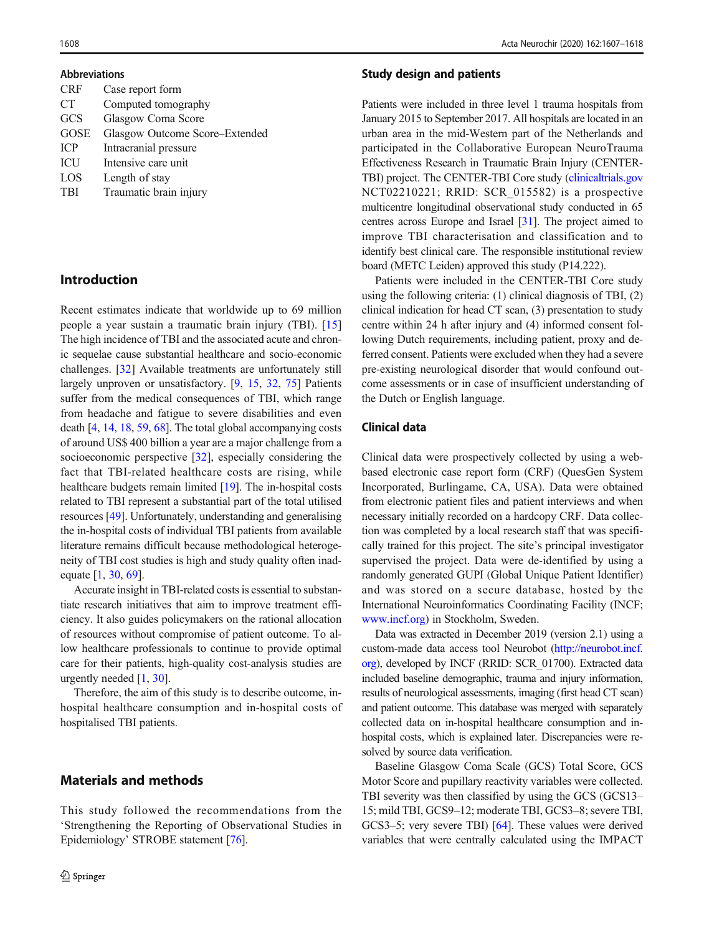### Abbreviations

| <b>CRF</b>  | Case report form               |
|-------------|--------------------------------|
| CТ          | Computed tomography            |
| <b>GCS</b>  | Glasgow Coma Score             |
| <b>GOSE</b> | Glasgow Outcome Score–Extended |
| <b>ICP</b>  | Intracranial pressure          |
| <b>ICU</b>  | Intensive care unit            |
| LOS         | Length of stay                 |
| <b>TBI</b>  | Traumatic brain injury         |
|             |                                |

# Introduction

Recent estimates indicate that worldwide up to 69 million people a year sustain a traumatic brain injury (TBI). [[15\]](#page-8-0) The high incidence of TBI and the associated acute and chronic sequelae cause substantial healthcare and socio-economic challenges. [\[32](#page-9-0)] Available treatments are unfortunately still largely unproven or unsatisfactory. [\[9](#page-8-0), [15](#page-8-0), [32](#page-9-0), [75](#page-11-0)] Patients suffer from the medical consequences of TBI, which range from headache and fatigue to severe disabilities and even death [\[4](#page-8-0), [14,](#page-8-0) [18](#page-9-0), [59,](#page-10-0) [68](#page-10-0)]. The total global accompanying costs of around US\$ 400 billion a year are a major challenge from a socioeconomic perspective [\[32](#page-9-0)], especially considering the fact that TBI-related healthcare costs are rising, while healthcare budgets remain limited [\[19](#page-9-0)]. The in-hospital costs related to TBI represent a substantial part of the total utilised resources [[49](#page-10-0)]. Unfortunately, understanding and generalising the in-hospital costs of individual TBI patients from available literature remains difficult because methodological heterogeneity of TBI cost studies is high and study quality often inadequate [\[1,](#page-8-0) [30,](#page-9-0) [69\]](#page-10-0).

Accurate insight in TBI-related costs is essential to substantiate research initiatives that aim to improve treatment efficiency. It also guides policymakers on the rational allocation of resources without compromise of patient outcome. To allow healthcare professionals to continue to provide optimal care for their patients, high-quality cost-analysis studies are urgently needed [\[1](#page-8-0), [30\]](#page-9-0).

Therefore, the aim of this study is to describe outcome, inhospital healthcare consumption and in-hospital costs of hospitalised TBI patients.

# Materials and methods

This study followed the recommendations from the 'Strengthening the Reporting of Observational Studies in Epidemiology' STROBE statement [[76](#page-11-0)].

## Study design and patients

Patients were included in three level 1 trauma hospitals from January 2015 to September 2017. All hospitals are located in an urban area in the mid-Western part of the Netherlands and participated in the Collaborative European NeuroTrauma Effectiveness Research in Traumatic Brain Injury (CENTER-TBI) project. The CENTER-TBI Core study [\(clinicaltrials.gov](http://creativecommons.org/licenses/by/4.0/) NCT02210221; RRID: SCR\_015582) is a prospective multicentre longitudinal observational study conducted in 65 centres across Europe and Israel [[31](#page-9-0)]. The project aimed to improve TBI characterisation and classification and to identify best clinical care. The responsible institutional review board (METC Leiden) approved this study (P14.222).

Patients were included in the CENTER-TBI Core study using the following criteria: (1) clinical diagnosis of TBI, (2) clinical indication for head CT scan, (3) presentation to study centre within 24 h after injury and (4) informed consent following Dutch requirements, including patient, proxy and deferred consent. Patients were excluded when they had a severe pre-existing neurological disorder that would confound outcome assessments or in case of insufficient understanding of the Dutch or English language.

# Clinical data

Clinical data were prospectively collected by using a webbased electronic case report form (CRF) (QuesGen System Incorporated, Burlingame, CA, USA). Data were obtained from electronic patient files and patient interviews and when necessary initially recorded on a hardcopy CRF. Data collection was completed by a local research staff that was specifically trained for this project. The site's principal investigator supervised the project. Data were de-identified by using a randomly generated GUPI (Global Unique Patient Identifier) and was stored on a secure database, hosted by the International Neuroinformatics Coordinating Facility (INCF; [www.incf.org\)](http://creativecommons.org/licenses/by/4.0/) in Stockholm, Sweden.

Data was extracted in December 2019 (version 2.1) using a custom-made data access tool Neurobot [\(http://neurobot.incf.](http://creativecommons.org/licenses/by/4.0/) [org](http://creativecommons.org/licenses/by/4.0/)), developed by INCF (RRID: SCR\_01700). Extracted data included baseline demographic, trauma and injury information, results of neurological assessments, imaging (first head CT scan) and patient outcome. This database was merged with separately collected data on in-hospital healthcare consumption and inhospital costs, which is explained later. Discrepancies were resolved by source data verification.

Baseline Glasgow Coma Scale (GCS) Total Score, GCS Motor Score and pupillary reactivity variables were collected. TBI severity was then classified by using the GCS (GCS13– 15; mild TBI, GCS9–12; moderate TBI, GCS3–8; severe TBI, GCS3–5; very severe TBI) [[64\]](#page-10-0). These values were derived variables that were centrally calculated using the IMPACT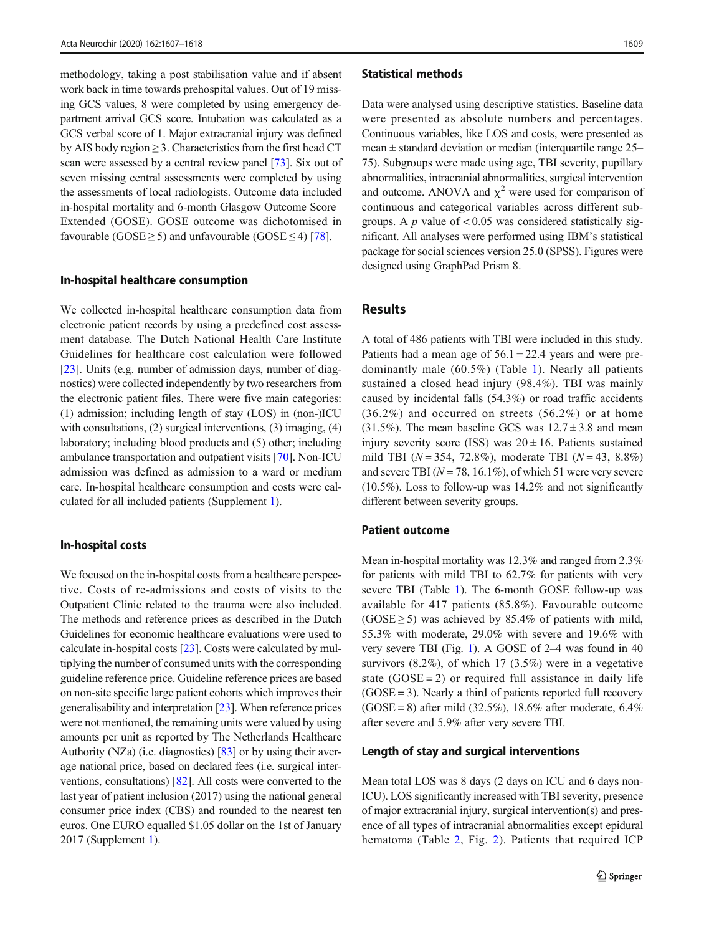methodology, taking a post stabilisation value and if absent work back in time towards prehospital values. Out of 19 missing GCS values, 8 were completed by using emergency department arrival GCS score. Intubation was calculated as a GCS verbal score of 1. Major extracranial injury was defined by AIS body region  $\geq$  3. Characteristics from the first head CT scan were assessed by a central review panel [\[73\]](#page-11-0). Six out of seven missing central assessments were completed by using the assessments of local radiologists. Outcome data included in-hospital mortality and 6-month Glasgow Outcome Score– Extended (GOSE). GOSE outcome was dichotomised in favourable (GOSE  $\geq$  5) and unfavourable (GOSE  $\leq$  4) [[78](#page-11-0)].

#### In-hospital healthcare consumption

We collected in-hospital healthcare consumption data from electronic patient records by using a predefined cost assessment database. The Dutch National Health Care Institute Guidelines for healthcare cost calculation were followed [\[23\]](#page-9-0). Units (e.g. number of admission days, number of diagnostics) were collected independently by two researchers from the electronic patient files. There were five main categories: (1) admission; including length of stay (LOS) in (non-)ICU with consultations, (2) surgical interventions, (3) imaging, (4) laboratory; including blood products and (5) other; including ambulance transportation and outpatient visits [[70](#page-10-0)]. Non-ICU admission was defined as admission to a ward or medium care. In-hospital healthcare consumption and costs were calculated for all included patients (Supplement 1).

## In-hospital costs

We focused on the in-hospital costs from a healthcare perspective. Costs of re-admissions and costs of visits to the Outpatient Clinic related to the trauma were also included. The methods and reference prices as described in the Dutch Guidelines for economic healthcare evaluations were used to calculate in-hospital costs [\[23](#page-9-0)]. Costs were calculated by multiplying the number of consumed units with the corresponding guideline reference price. Guideline reference prices are based on non-site specific large patient cohorts which improves their generalisability and interpretation [\[23](#page-9-0)]. When reference prices were not mentioned, the remaining units were valued by using amounts per unit as reported by The Netherlands Healthcare Authority (NZa) (i.e. diagnostics) [\[83\]](#page-11-0) or by using their average national price, based on declared fees (i.e. surgical interventions, consultations) [\[82\]](#page-11-0). All costs were converted to the last year of patient inclusion (2017) using the national general consumer price index (CBS) and rounded to the nearest ten euros. One EURO equalled \$1.05 dollar on the 1st of January 2017 (Supplement 1).

#### Statistical methods

Data were analysed using descriptive statistics. Baseline data were presented as absolute numbers and percentages. Continuous variables, like LOS and costs, were presented as mean  $\pm$  standard deviation or median (interquartile range 25– 75). Subgroups were made using age, TBI severity, pupillary abnormalities, intracranial abnormalities, surgical intervention and outcome. ANOVA and  $\chi^2$  were used for comparison of continuous and categorical variables across different subgroups. A  $p$  value of  $<0.05$  was considered statistically significant. All analyses were performed using IBM's statistical package for social sciences version 25.0 (SPSS). Figures were designed using GraphPad Prism 8.

# Results

A total of 486 patients with TBI were included in this study. Patients had a mean age of  $56.1 \pm 22.4$  years and were predominantly male (60.5%) (Table [1](#page-3-0)). Nearly all patients sustained a closed head injury (98.4%). TBI was mainly caused by incidental falls (54.3%) or road traffic accidents  $(36.2\%)$  and occurred on streets  $(56.2\%)$  or at home (31.5%). The mean baseline GCS was  $12.7 \pm 3.8$  and mean injury severity score (ISS) was  $20 \pm 16$ . Patients sustained mild TBI ( $N = 354$ , 72.8%), moderate TBI ( $N = 43, 8.8\%$ ) and severe TBI ( $N = 78, 16.1\%$ ), of which 51 were very severe (10.5%). Loss to follow-up was 14.2% and not significantly different between severity groups.

## Patient outcome

Mean in-hospital mortality was 12.3% and ranged from 2.3% for patients with mild TBI to 62.7% for patients with very severe TBI (Table [1\)](#page-3-0). The 6-month GOSE follow-up was available for 417 patients (85.8%). Favourable outcome  $(GOSE \geq 5)$  was achieved by 85.4% of patients with mild, 55.3% with moderate, 29.0% with severe and 19.6% with very severe TBI (Fig. [1\)](#page-4-0). A GOSE of 2–4 was found in 40 survivors (8.2%), of which 17 (3.5%) were in a vegetative state  $(GOSE = 2)$  or required full assistance in daily life  $(GOSE = 3)$ . Nearly a third of patients reported full recovery  $(GOSE = 8)$  after mild (32.5%), 18.6% after moderate, 6.4% after severe and 5.9% after very severe TBI.

#### Length of stay and surgical interventions

Mean total LOS was 8 days (2 days on ICU and 6 days non-ICU). LOS significantly increased with TBI severity, presence of major extracranial injury, surgical intervention(s) and presence of all types of intracranial abnormalities except epidural hematoma (Table [2,](#page-5-0) Fig. [2](#page-6-0)). Patients that required ICP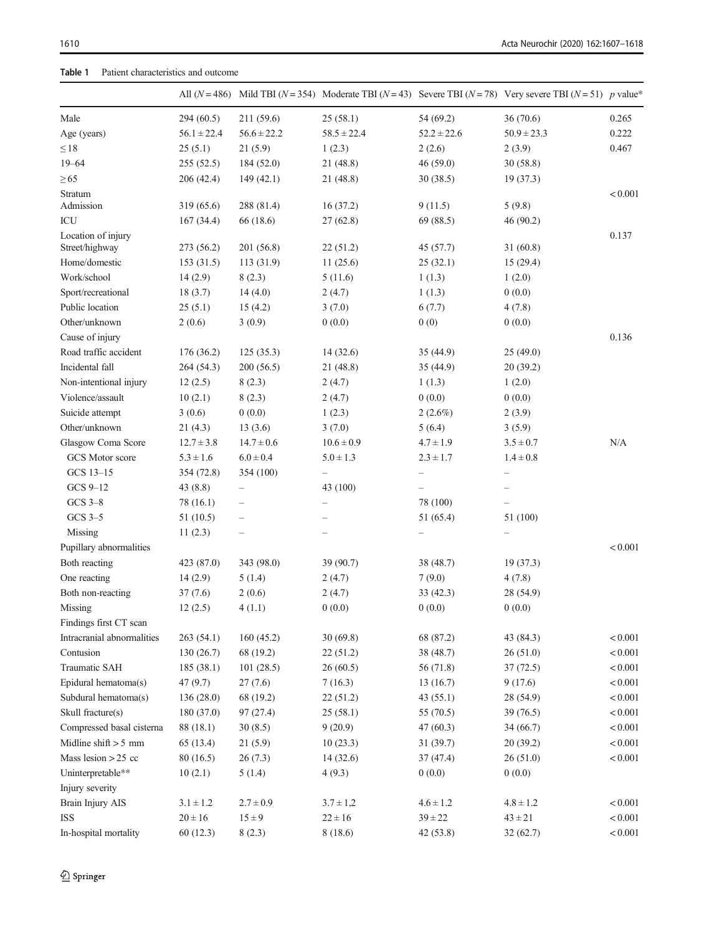# <span id="page-3-0"></span>Table 1 Patient characteristics and outcome

|                                      |                 |                   |                 |                 | All ( $N=486$ ) Mild TBI ( $N=354$ ) Moderate TBI ( $N=43$ ) Severe TBI ( $N=78$ ) Very severe TBI ( $N=51$ ) p value* |            |
|--------------------------------------|-----------------|-------------------|-----------------|-----------------|------------------------------------------------------------------------------------------------------------------------|------------|
| Male                                 | 294(60.5)       | 211 (59.6)        | 25(58.1)        | 54 (69.2)       | 36(70.6)                                                                                                               | 0.265      |
| Age (years)                          | $56.1 \pm 22.4$ | $56.6 \pm 22.2$   | $58.5 \pm 22.4$ | $52.2 \pm 22.6$ | $50.9 \pm 23.3$                                                                                                        | 0.222      |
| $\leq 18$                            | 25(5.1)         | 21(5.9)           | 1(2.3)          | 2(2.6)          | 2(3.9)                                                                                                                 | 0.467      |
| $19 - 64$                            | 255(52.5)       | 184 (52.0)        | 21 (48.8)       | 46(59.0)        | 30(58.8)                                                                                                               |            |
| $\geq 65$                            | 206 (42.4)      | 149(42.1)         | 21 (48.8)       | 30(38.5)        | 19(37.3)                                                                                                               |            |
| Stratum                              |                 |                   |                 |                 |                                                                                                                        | < 0.001    |
| Admission                            | 319 (65.6)      | 288 (81.4)        | 16(37.2)        | 9(11.5)         | 5(9.8)                                                                                                                 |            |
| ICU                                  | 167(34.4)       | 66 (18.6)         | 27(62.8)        | 69 (88.5)       | 46 (90.2)                                                                                                              |            |
| Location of injury<br>Street/highway | 273 (56.2)      | 201 (56.8)        | 22(51.2)        | 45 (57.7)       | 31(60.8)                                                                                                               | 0.137      |
| Home/domestic                        | 153(31.5)       | 113 (31.9)        | 11(25.6)        | 25(32.1)        | 15(29.4)                                                                                                               |            |
| Work/school                          | 14(2.9)         | 8(2.3)            | 5(11.6)         | 1(1.3)          | 1(2.0)                                                                                                                 |            |
| Sport/recreational                   | 18(3.7)         | 14(4.0)           | 2(4.7)          | 1(1.3)          | 0(0.0)                                                                                                                 |            |
| Public location                      | 25(5.1)         | 15(4.2)           | 3(7.0)          | 6(7.7)          | 4(7.8)                                                                                                                 |            |
| Other/unknown                        | 2(0.6)          | 3(0.9)            | 0(0.0)          | 0(0)            | 0(0.0)                                                                                                                 |            |
| Cause of injury                      |                 |                   |                 |                 |                                                                                                                        | 0.136      |
| Road traffic accident                | 176 (36.2)      | 125(35.3)         | 14(32.6)        | 35 (44.9)       | 25(49.0)                                                                                                               |            |
| Incidental fall                      | 264 (54.3)      | 200 (56.5)        | 21 (48.8)       | 35 (44.9)       | 20(39.2)                                                                                                               |            |
| Non-intentional injury               | 12(2.5)         | 8(2.3)            | 2(4.7)          | 1(1.3)          | 1(2.0)                                                                                                                 |            |
| Violence/assault                     | 10(2.1)         | 8(2.3)            | 2(4.7)          | 0(0.0)          | 0(0.0)                                                                                                                 |            |
| Suicide attempt                      | 3(0.6)          | 0(0.0)            | 1(2.3)          | $2(2.6\%)$      | 2(3.9)                                                                                                                 |            |
| Other/unknown                        | 21(4.3)         | 13(3.6)           | 3(7.0)          | 5(6.4)          | 3(5.9)                                                                                                                 |            |
| Glasgow Coma Score                   | $12.7 \pm 3.8$  | $14.7 \pm 0.6$    | $10.6 \pm 0.9$  | $4.7 \pm 1.9$   | $3.5 \pm 0.7$                                                                                                          | N/A        |
| GCS Motor score                      | $5.3 \pm 1.6$   | $6.0 \pm 0.4$     | $5.0 \pm 1.3$   | $2.3 \pm 1.7$   | $1.4 \pm 0.8$                                                                                                          |            |
| GCS 13-15                            | 354 (72.8)      | 354 (100)         | $\equiv$        |                 |                                                                                                                        |            |
| GCS 9-12                             | 43 $(8.8)$      |                   | 43 (100)        |                 |                                                                                                                        |            |
| $GCS$ 3-8                            | 78 (16.1)       | $\qquad \qquad -$ |                 | 78 (100)        |                                                                                                                        |            |
| $GCS$ 3-5                            | 51(10.5)        |                   |                 | 51 (65.4)       | 51 (100)                                                                                                               |            |
| Missing                              | 11(2.3)         |                   |                 |                 |                                                                                                                        |            |
| Pupillary abnormalities              |                 |                   |                 |                 |                                                                                                                        | < 0.001    |
| Both reacting                        | 423 (87.0)      | 343 (98.0)        | 39 (90.7)       | 38 (48.7)       | 19(37.3)                                                                                                               |            |
| One reacting                         | 14(2.9)         | 5(1.4)            | 2(4.7)          | 7(9.0)          | 4(7.8)                                                                                                                 |            |
| Both non-reacting                    | 37(7.6)         | 2(0.6)            | 2(4.7)          | 33(42.3)        | 28 (54.9)                                                                                                              |            |
| Missing                              | 12(2.5)         | 4(1.1)            | 0(0.0)          | 0(0.0)          | 0(0.0)                                                                                                                 |            |
| Findings first CT scan               |                 |                   |                 |                 |                                                                                                                        |            |
| Intracranial abnormalities           | 263(54.1)       | 160(45.2)         | 30(69.8)        | 68 (87.2)       | 43 (84.3)                                                                                                              | < 0.001    |
| Contusion                            | 130(26.7)       | 68 (19.2)         | 22(51.2)        | 38 (48.7)       | 26(51.0)                                                                                                               | < 0.001    |
| Traumatic SAH                        | 185(38.1)       | 101(28.5)         | 26(60.5)        | 56 (71.8)       | 37(72.5)                                                                                                               | < 0.001    |
| Epidural hematoma(s)                 | 47(9.7)         | 27(7.6)           | 7(16.3)         | 13(16.7)        | 9(17.6)                                                                                                                | < 0.001    |
| Subdural hematoma(s)                 | 136(28.0)       | 68 (19.2)         | 22(51.2)        | 43(55.1)        | 28 (54.9)                                                                                                              | < 0.001    |
| Skull fracture(s)                    | 180 (37.0)      | 97(27.4)          | 25(58.1)        | 55 (70.5)       | 39(76.5)                                                                                                               | < 0.001    |
| Compressed basal cisterna            | 88 (18.1)       | 30(8.5)           | 9(20.9)         | 47(60.3)        | 34(66.7)                                                                                                               | < 0.001    |
| Midline shift $> 5$ mm               | 65 (13.4)       | 21(5.9)           | 10(23.3)        | 31(39.7)        | 20(39.2)                                                                                                               | $<\!0.001$ |
| Mass lesion $>$ 25 cc                | 80(16.5)        | 26(7.3)           | 14(32.6)        | 37(47.4)        | 26(51.0)                                                                                                               | $<\!0.001$ |
| Uninterpretable**                    | 10(2.1)         | 5(1.4)            | 4(9.3)          | 0(0.0)          | 0(0.0)                                                                                                                 |            |
| Injury severity                      |                 |                   |                 |                 |                                                                                                                        |            |
| Brain Injury AIS                     | $3.1 \pm 1.2$   | $2.7 \pm 0.9$     | $3.7 \pm 1.2$   | $4.6 \pm 1.2$   | $4.8 \pm 1.2$                                                                                                          | < 0.001    |
| <b>ISS</b>                           | $20 \pm 16$     | $15 \pm 9$        | $22 \pm 16$     | $39 \pm 22$     | $43 \pm 21$                                                                                                            | < 0.001    |
| In-hospital mortality                | 60(12.3)        | 8(2.3)            | 8(18.6)         | 42 (53.8)       | 32(62.7)                                                                                                               | < 0.001    |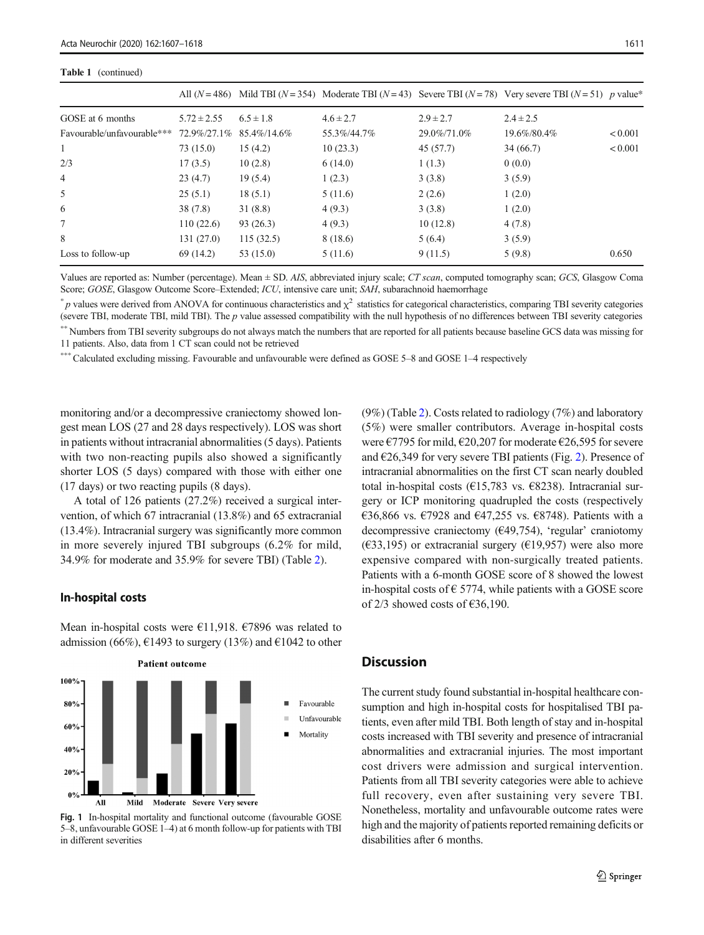#### <span id="page-4-0"></span>Table 1 (continued)

|                            |                 |               |               |               | All $(N=486)$ Mild TBI $(N=354)$ Moderate TBI $(N=43)$ Severe TBI $(N=78)$ Very severe TBI $(N=51)$ p value* |              |
|----------------------------|-----------------|---------------|---------------|---------------|--------------------------------------------------------------------------------------------------------------|--------------|
| GOSE at 6 months           | $5.72 \pm 2.55$ | $6.5 \pm 1.8$ | $4.6 \pm 2.7$ | $2.9 \pm 2.7$ | $2.4 \pm 2.5$                                                                                                |              |
| Favourable/unfavourable*** | 72.9%/27.1%     | 85.4%/14.6%   | 55.3%/44.7%   | 29.0%/71.0%   | 19.6%/80.4%                                                                                                  | ${}_{0.001}$ |
| $\mathbf{1}$               | 73 (15.0)       | 15(4.2)       | 10(23.3)      | 45(57.7)      | 34 (66.7)                                                                                                    | ${}_{0.001}$ |
| 2/3                        | 17(3.5)         | 10(2.8)       | 6(14.0)       | 1(1.3)        | 0(0.0)                                                                                                       |              |
| $\overline{4}$             | 23(4.7)         | 19(5.4)       | 1(2.3)        | 3(3.8)        | 3(5.9)                                                                                                       |              |
| 5                          | 25(5.1)         | 18(5.1)       | 5(11.6)       | 2(2.6)        | 1(2.0)                                                                                                       |              |
| 6                          | 38(7.8)         | 31(8.8)       | 4(9.3)        | 3(3.8)        | 1(2.0)                                                                                                       |              |
| 7                          | 110(22.6)       | 93 (26.3)     | 4(9.3)        | 10(12.8)      | 4(7.8)                                                                                                       |              |
| 8                          | 131(27.0)       | 115(32.5)     | 8 (18.6)      | 5(6.4)        | 3(5.9)                                                                                                       |              |
| Loss to follow-up          | 69 (14.2)       | 53 (15.0)     | 5(11.6)       | 9(11.5)       | 5(9.8)                                                                                                       | 0.650        |

Values are reported as: Number (percentage). Mean  $\pm$  SD. AIS, abbreviated injury scale; CT scan, computed tomography scan; GCS, Glasgow Coma Score; GOSE, Glasgow Outcome Score–Extended; ICU, intensive care unit; SAH, subarachnoid haemorrhage

 $^*$  p values were derived from ANOVA for continuous characteristics and  $\chi^2$  statistics for categorical characteristics, comparing TBI severity categories (severe TBI, moderate TBI, mild TBI). The  $p$  value assessed compatibility with the null hypothesis of no differences between TBI severity categories \*\* Numbers from TBI severity subgroups do not always match the numbers that are reported for all patients because baseline GCS data was missing for 11 patients. Also, data from 1 CT scan could not be retrieved

\*Calculated excluding missing. Favourable and unfavourable were defined as GOSE 5–8 and GOSE 1–4 respectively

monitoring and/or a decompressive craniectomy showed longest mean LOS (27 and 28 days respectively). LOS was short in patients without intracranial abnormalities (5 days). Patients with two non-reacting pupils also showed a significantly shorter LOS (5 days) compared with those with either one (17 days) or two reacting pupils (8 days).

A total of 126 patients (27.2%) received a surgical intervention, of which 67 intracranial (13.8%) and 65 extracranial (13.4%). Intracranial surgery was significantly more common in more severely injured TBI subgroups (6.2% for mild, 34.9% for moderate and 35.9% for severe TBI) (Table [2](#page-5-0)).

## In-hospital costs

Mean in-hospital costs were €11,918. €7896 was related to admission (66%),  $\epsilon$ 1493 to surgery (13%) and  $\epsilon$ 1042 to other



Fig. 1 In-hospital mortality and functional outcome (favourable GOSE 5–8, unfavourable GOSE 1–4) at 6 month follow-up for patients with TBI in different severities

(9%) (Table [2](#page-5-0)). Costs related to radiology (7%) and laboratory (5%) were smaller contributors. Average in-hospital costs were  $\epsilon$ 7795 for mild,  $\epsilon$ 20,207 for moderate  $\epsilon$ 26,595 for severe and €26,349 for very severe TBI patients (Fig. [2\)](#page-6-0). Presence of intracranial abnormalities on the first CT scan nearly doubled total in-hospital costs (€15,783 vs. €8238). Intracranial surgery or ICP monitoring quadrupled the costs (respectively €36,866 vs. €7928 and €47,255 vs. €8748). Patients with a decompressive craniectomy (€49,754), 'regular' craniotomy  $(633,195)$  or extracranial surgery  $(619,957)$  were also more expensive compared with non-surgically treated patients. Patients with a 6-month GOSE score of 8 showed the lowest in-hospital costs of  $\epsilon$  5774, while patients with a GOSE score of 2/3 showed costs of  $\epsilon$ 36,190.

# **Discussion**

The current study found substantial in-hospital healthcare consumption and high in-hospital costs for hospitalised TBI patients, even after mild TBI. Both length of stay and in-hospital costs increased with TBI severity and presence of intracranial abnormalities and extracranial injuries. The most important cost drivers were admission and surgical intervention. Patients from all TBI severity categories were able to achieve full recovery, even after sustaining very severe TBI. Nonetheless, mortality and unfavourable outcome rates were high and the majority of patients reported remaining deficits or disabilities after 6 months.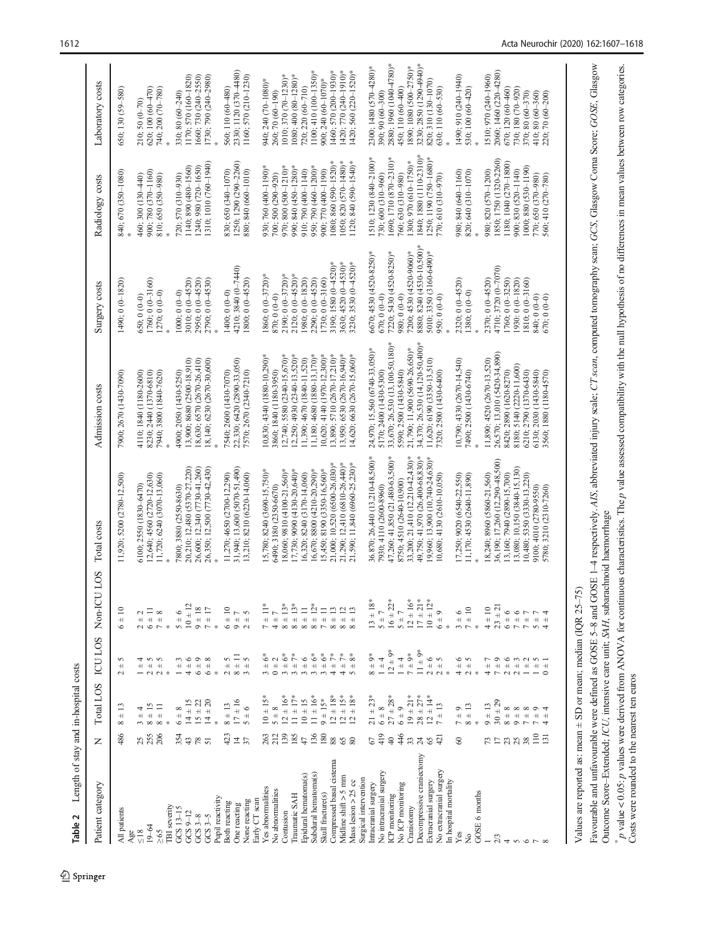<span id="page-5-0"></span>

| Length of stay and in-hospital costs<br>Table 2                  |                               |                                            |                                                                             |                                                                                                                                 |                                 |                                 |                           |                          |                         |
|------------------------------------------------------------------|-------------------------------|--------------------------------------------|-----------------------------------------------------------------------------|---------------------------------------------------------------------------------------------------------------------------------|---------------------------------|---------------------------------|---------------------------|--------------------------|-------------------------|
| Patient category                                                 | z                             | Total LOS                                  | <b>ICU LOS</b>                                                              | LOS<br>Non-ICL                                                                                                                  | Total costs                     | Admission costs                 | Surgery costs             | Radiology costs          | Laboratory costs        |
| All patients                                                     | 486                           | $\mathbf{r}$<br>$^{\rm +}$<br>$\infty$     | $\sim$<br>$^{\rm +}$<br>$\sim$                                              | $^{\rm +}$<br>$\circ$                                                                                                           | 11,920; 5200 (2780-12,500)      | 7900; 2670 (1430-7090)          | 1490; 0 (0-1820)          | 840; 670 (350-1080)      | 650; 130 (59-580)       |
| $\leq 18$<br>Agec                                                |                               | 4<br>$^{\rm +}$<br>3                       | $^+$                                                                        | $\sim$                                                                                                                          | 6100; 2550 (1830-6470)          | 4110; 1840 (1180-2600)          | 650; 0 (0-0)              | 460; 300 (130-440)       | $210; 50 (0 - 70)$      |
| 19-64                                                            | <b>355</b><br>206             | $\pm$ 15<br>$\infty$                       | 455<br>$+$                                                                  | $\begin{array}{c}\n2 \\ \uparrow \\ \downarrow \\ \downarrow \\ \downarrow \\ \downarrow \\ \downarrow\n\end{array}$<br>$\circ$ | 12,640; 4560 (2720-12,630)      | 8230; 2440 (1370-6810)          | 1760; 0 (0-3160)          | 900; 780 (370-1160)      | 620; 100 (60-470)       |
| $\geq 65$                                                        |                               | $\frac{-1}{2}$<br>${}^{\circ}$             | $+$<br>$N$ *                                                                | $\overline{ }$                                                                                                                  | 11,720; 6240 (3070-13,060)      | 7940; 3800 (1840-7620)          | $1270;0(0-0)$             | 810; 650 (350-980)       | 740; 200 (70-780)       |
| TBI severity                                                     |                               |                                            |                                                                             | $\boldsymbol{\ast}$                                                                                                             |                                 |                                 |                           |                          |                         |
| GCS 13-15                                                        |                               | ${}^{\circ}$<br>$^{\rm +}$<br>$\circ$      | $+$                                                                         | $\pm 6$<br>$\sim$                                                                                                               | 7800; 3880 (2550-8630)          | 4900; 2050 (1430-5250)          | $(000; 0 (0-0)$           | 720; 570 (310-930)       | 330; 80 (60-240)        |
| GCS $9-12$                                                       |                               | $14 \pm 15$                                | $m \circ \infty$<br>$^{\rm +}$<br>$\overline{}$                             | $10 \pm 12$                                                                                                                     | 20,210; 12,480 (5370-27,220)    | 13,900; 8680 (2500-18,910)      | 3010; 0 (0-4520)          | 1140; 890 (480-1560)     | 1170; 570 (160-1820)    |
| GCS $3-8$                                                        |                               | $15 \pm 22$                                | $+ +$<br>$\circ$                                                            | ±18<br>$\sigma$ $\Gamma$                                                                                                        | 26,600; 12,340 (7730-41,260)    | 18,630;6570 (2670-26,410)       | 2950; 0 (0-4520)          | 1240; 980 (720-1650)     | 1660; 730 (240-2550)    |
| GCS $3-5$                                                        |                               | $14 \pm 20$                                | $\circ$ $*$                                                                 | $+17$                                                                                                                           | 26,350; 12,500 (7730-42,430)    | 18, 140; 6230 (2670-30, 600)    | 2790; 0 (0-4530)          | 1310; 1010 (760-1940)    | 1730; 790 (240-2980)    |
| Pupil reactivity                                                 |                               |                                            |                                                                             | $\boldsymbol{\ast}$                                                                                                             |                                 |                                 |                           |                          |                         |
| Both reacting                                                    | 423                           | $\pm$ 13<br>${}^{\circ}$                   | 5<br>$\begin{array}{c} + \end{array}$<br>$\sim \infty$                      | ±10<br>$\circ$                                                                                                                  | 11,270; 4650 (2700-12,290)      | 7540; 2600 (1430-7070)          | $(400; 0 (0 - 0)$         | 830; 650 (340-1070)      | 560; 110 (60-480)       |
| One reacting                                                     | $\frac{4}{5}$                 | $17 \pm 16$                                | $\frac{5}{4}$                                                               | $\overline{ }$<br>$^{\rm +}$<br>$\circ$                                                                                         | 31,940; 13,600 (5070-51,490)    | 22,330; 6420 (2890-33,050)      | 4210; 3840 (0-7440)       | 1250; 1290 (290-2260)    | 2330; 1120 (370-4480)   |
| None reacting                                                    |                               | 5 ± 6                                      | $\sim$                                                                      | $\sim$<br>$+$<br>$\sim$                                                                                                         | 13,210; 8210 (6220-14,060)      | 7570; 2670 (2340-7210)          | 1800; 0 (0-4520)          | 880; 840 (660-1010)      | 1160; 570 (210-1230)    |
| Early CT scan                                                    |                               |                                            |                                                                             |                                                                                                                                 |                                 |                                 |                           |                          |                         |
| Yes abnormalities                                                | 263<br>212                    | $10 \pm 15^{\circ}$                        | $^+$                                                                        | $^{\rm +}$                                                                                                                      | 15,780; 8240 (3690-15,750)*     | 10,830; 4340 (1880-10,290)*     | $1860; 0 (0 - 3720)$ *    | 930; 760 (400-1190)*     | 940; 240 (70-1080)*     |
| No abnormalities                                                 |                               | $5 \pm 8$                                  | $\stackrel{*}{\circ} \circ \stackrel{*}{\circ}$<br>$^{\rm +}$               | $^{\rm +}$<br>$\overline{4}$                                                                                                    | 6490; 3180 (2350-6670)          | 3860; 1840 (1180-3950)          | 870; 0 (0-0)              | 700; 500 (290-920)       | 260; 70 (60-190)        |
| Contusion                                                        | 139                           | $12 \pm 16^*$                              | $^{\rm +}$                                                                  | $± 13*$<br>$\infty$                                                                                                             | 18,060; 9810 (4100-21,560)*     | 12,740; 5580 (2340-15,670)*     | 2190; 0 (0-3720)*         | 970; 800 (500-1210)*     | 1010; 370 (70-1230)*    |
| Traumatic SAH                                                    | 185                           | $11 \pm 17$ *                              | $\tilde{\tau}^*$<br>$^{\rm +}$                                              | $± 13*$                                                                                                                         | 17,730; 9090 (4130-20,640)*     | 12,250; 4930 (2340-13,520)*     | 2120; 0 (0-4520)*         | 990; 840 (450-1280)*     | 1080; 400 (80-1280)*    |
| Epidural hematoma(s)                                             | 47                            | $10 \pm 15$                                | $^{\rm +}$<br>$\epsilon$                                                    | $\frac{-1}{1}$                                                                                                                  | 16,320; 8240 (3170-14,060)      | 11,390; 4670 (1840-11,520)      | 1980; 0 (0-1820)          | 910; 790 (400-1140)      | 720; 220 (60-710)       |
| Subdural hematoma(s)                                             | 136                           | $11 \pm 16$ *                              | $^{\rm +}$<br>$\sim$                                                        | $± 12*$                                                                                                                         | 16,670; 8800 (4210-20,290)*     | 11,180;4680 (1880-13,170)*      | 2290; 0 (0-4520)          | 950; 790 (460-1200)*     | $1100:410(100-1350)$ *  |
| Skull fracture(s)                                                | 180                           | $9 \pm 15*$                                | $\circ$ $\stackrel{*}{\circ}$ $\stackrel{*}{\circ}$<br>$^{\rm +}$<br>$\sim$ | $\frac{-1}{2}$<br>$\infty$ $\infty$ $\infty$ $\sim$                                                                             | 15,450; 8190 (3350-16,560)*     | 10,620; 4140 (1970-12,300)*     | 1730; 0 (0-3160)          | 900; 770 (400-1190)      | 900; 240 (60-1070)*     |
| Compressed basal cisterna                                        | $88\,$                        | $12 \pm 18^*$                              | $\stackrel{*}{\tau}$<br>4                                                   | $\pm~13$                                                                                                                        | 21,000; 10,520 (6500-26,030)*   | 13,890; 5710 (2670-17,210)*     | 3190; 1580 (0-4520)*      | 1080; 860 (590-1520)*    | 1460; 570 (200-1930)*   |
| Midline shift $>$ 5 mm                                           | $\mathcal{S}$                 | $12\pm15\mathrm{*}$                        | $+ + +$<br>4                                                                | $\infty$ $\infty$ $\infty$                                                                                                      | 21,290; 12,410 (6810-26,440)*   | 13,950; 6530 (2670-16,940)*     | 3630; 4520 $(0-4530)$ *   | 1050; 820 (570-1480)*    | 1420; 770 (240-1910)*   |
| Mass lesion $>$ 25 cc                                            | $\infty$                      | $± 18*$<br>$\overline{12}$                 | $\stackrel{*}{\sim} \stackrel{*}{\infty}$<br>$\sim$                         | $\begin{array}{c} \pm 12 \\ \pm 13 \end{array}$                                                                                 | 21,590; 11,840 (6960-25,230)*   | 14,620; 6630 (2670-15,060)*     | 3230; 3530 $(0-4520)$ *   | $1120$ ; 840 (590-1540)* | 1420; 560 (220-1520)*   |
| Surgical intervention                                            |                               |                                            |                                                                             |                                                                                                                                 |                                 |                                 |                           |                          |                         |
| Intracranial surgery                                             | 5                             | $21 \pm 23$ *                              | $\pm$ 9*                                                                    | $13 \pm 18$ *                                                                                                                   | 36.870; 26,440 (13,210-48,500)* | 24,970; 15,560 (6740-33,050)*   | 6670; 4530 (4520-8250)*   | 1510; 1230 (840-2100)*   | 2300: 1480 (570 4280)*  |
| No intracranial surgery                                          | 419                           | $6 + 8$                                    | $\frac{4}{4}$                                                               | $5 + 7$                                                                                                                         | 7930; 4110 (2600-8960)          | 5170; 2400 (1430-5300)          | $670; 0 (0-0)$            | 730; 600 (310-960)       | 390; 90 (60-300)        |
| ICP monitoring                                                   | $\overline{P}$                | $27 + 28*$                                 | $12 \pm 9*$                                                                 | $16 \pm 22$ *                                                                                                                   | 47,260; 41,850 (21,480-63,500)* | 33,670; 26,530 (13,100-50,180)* | 7220; 5430 (4520-8250)*   | 1690; 1710 (870-2310)*   | 2880; 1960 (1040-4780)* |
| No ICP monitoring                                                | 446                           | $6 + 9$                                    | $1 \pm 4$                                                                   | $5 \pm 7$                                                                                                                       | 8750; 4510 (2640-10,900)        | 5590; 2500 (1430-5840)          | 980:000-01                | 760; 630 (310-980)       | 450; 110 (60-400)       |
| Craniotomy                                                       |                               | $19 \pm 21*$                               | $7\pm9*$                                                                    | $12 \pm 16*$                                                                                                                    | 33,200; 21,410 (12,210-42,430)* | 21,790; 11,900 (5690-26,650)*   | 7200: 4530 (4520-9060)*   | 1300; 970 (610-1750)*    | 1890; 1080 (500-2750)*  |
| Decompressive craniectomy                                        | 24                            | $28 \pm 27*$                               | $11 \pm 9$ *                                                                | $17 + 21*$                                                                                                                      | 49,750; 41,970 (26,400-68,830)* | 34,370; 26,530 (14,120-50,400)* | 8880; 8240 (4530-10,500)* | 1840; 1880 (110-2310)*   | 3230; 2850 (1290-4940)* |
| Extracranial surgery                                             | $\mathcal{S}$                 | $12 \pm 14*$                               | $\begin{array}{c} 5 \\ 4 \\ + \end{array}$<br>$\sim$                        | $10 \pm 12*$                                                                                                                    | 19,960; 13,900 (10,740-24,630)* | 11,620; 6190 (3350-13,510)      | 5010; 3350 (3160-6490)*   | 1250; 1190 (750-1680)*   | 820; 310 (130-1070)     |
| No extracranial surgery                                          | 421                           | $7 \pm 13$                                 | $N$ *                                                                       | $6 + 9$                                                                                                                         | 10,680; 4130 (2610-10,050)      | 7320; 2500 (1430-6400)          | 950; 0 (0-0)              | 770; 610 (310-970)       | 630; 110 (60-530)       |
| In hospital mortality                                            |                               |                                            |                                                                             |                                                                                                                                 |                                 |                                 |                           |                          |                         |
| Yes                                                              | 8                             | $+9$<br>$+13$<br>$\overline{a}$            | e n<br>$+ +$<br>42*                                                         | $\circ$<br>$+$<br>3                                                                                                             | 17,250; 9020 (6540-22,550)      | 10,790; 4330 (2670-14,540)      | 2320; 0 (0-4520)          | 980; 840 (640-1160)      | 1490; 910 (240-1940)    |
| $\frac{1}{2}$                                                    |                               | $\infty$                                   |                                                                             | $10 +$                                                                                                                          | 11,170; 4530 (2640-11,890)      | 7490; 2500 (1430-6740)          | $(380; 0 (0 - 0))$        | 820; 640 (310-1070)      | 530; 100 (60-420)       |
| months<br>GOSE 6                                                 |                               | $\mathcal{R}$                              |                                                                             | $\boldsymbol{\varkappa}$                                                                                                        |                                 |                                 |                           |                          |                         |
|                                                                  |                               | $9 \pm 13$<br>$30 \pm 29$                  | $+ +$<br>4                                                                  | ±10<br>4                                                                                                                        | 18,240; 8960 (5860-21,560)      | 11,890: 4520 (2670-13,520)      | 2370; 0 (0-4520)          | 980; 820 (570-1200)      | 1510; 970 (240-1960)    |
| $\frac{2}{3}$                                                    | $R \nightharpoonup R$ $R$ $R$ |                                            | $\circ$                                                                     | $23 \pm 21$                                                                                                                     | 36,190; 17,260 (12,290-48,500)  | 26,570; 13,010 (5420-34,890)    | 4710: 3720 (0-7070)       | 1850; 1750 (1320-2260)   | 2060; 1460 (220-4280)   |
|                                                                  |                               | $\infty$<br>$^{\rm +}$<br>$\infty$         | $\circ$<br>$^{\rm +}$                                                       | $\pm 6$<br>$\circ$ $\sim$                                                                                                       | 13,160; 7940 (2890-15,700)      | 8420; 2890 (1620-8270)          | 1760; 0 (0-3250)          | 1180; 1040 (270-1800)    | 670; 120 (60-460)       |
|                                                                  |                               | $^{\rm +}$<br>$\circ$                      | $^+$                                                                        | $\circ$<br>$^{\rm +}$                                                                                                           | 13,080; 10,150 (3840-15,130)    | 8180; 5140 (2220-11,600)        | 1930: 0 (0-1820)          | 900; 830 (520-1140)      | 730; 180 (70-920)       |
|                                                                  |                               | $^+$<br>$\overline{ }$                     | $^{\rm +}$                                                                  | $\pm$<br>$\overline{ }$                                                                                                         | 10,480; 5350 (3330-13,220)      | 6210; 2790 (1370-6430)          | 1810; 0 (0-3160)          | 1000; 880 (530-1190)     | 370; 80 (60-370)        |
| $n \circ r \circ$                                                | 110                           | $\infty$ $\infty$ $\infty$ 4<br>$^{\rm +}$ | $M_{\odot}$ $M_{\odot}$ $-$<br>$+$                                          | $\overline{r}$ 4<br>$^{\rm +}$<br>$\sim$                                                                                        | 9100; 4010 (2780-9550)          | 6130; 2030 (1430-5840)          | 840; 0 (0-0)              | 770; 650 (370-980)       | 410; 80 (60-360)        |
|                                                                  | 131                           | $^+$                                       | $+$                                                                         | $+$                                                                                                                             | 5780; 3210 (2310-7260)          | 3560; 1880 (1180-4570)          | 570; 0 (0-0)              | 560; 410 (270-780)       | 220; 70 (60-200)        |
|                                                                  |                               |                                            |                                                                             |                                                                                                                                 |                                 |                                 |                           |                          |                         |
|                                                                  |                               |                                            |                                                                             |                                                                                                                                 |                                 |                                 |                           |                          |                         |
| Values are reported as: mean $\pm$ SD or mean; median (IQR 25-7, |                               |                                            |                                                                             | ົດ                                                                                                                              |                                 |                                 |                           |                          |                         |

Favourable and unfavourable were defined as GOSE 5–8 and GOSE 1–4 respectively. AIS, abbreviated injury scale; CT scan, computed tomography scan; GCS, Glasgow Coma Score; GOSE, Glasgow

Favourable and unfavourable were defined as GOSE 5–8 and GOSE 1–4 respectively. AIS, abbreviated injury scale; CT scan, computed tomography scan; GCS, Glasgow Coma Score; GOSE, Glasgow<br>Outcome Score-Extended; ICU, intensiv

 $*$  p value < 0.05: p values were derived from ANOVA for continuous characteristics. The p value assessed compatibility with the null hypothesis of no differences in mean values between row categories. p value < 0.05: p values were derived from ANOVA for continuous characteristics. The p value assessed compatibility with the null hypothesis of no differences in mean values between row categories.

Outcome Score–Extended; ICU, intensive care unit; SAH, subarachnoid haemorrhage

Costs were rounded to the nearest ten euros

Costs were rounded to the nearest ten euros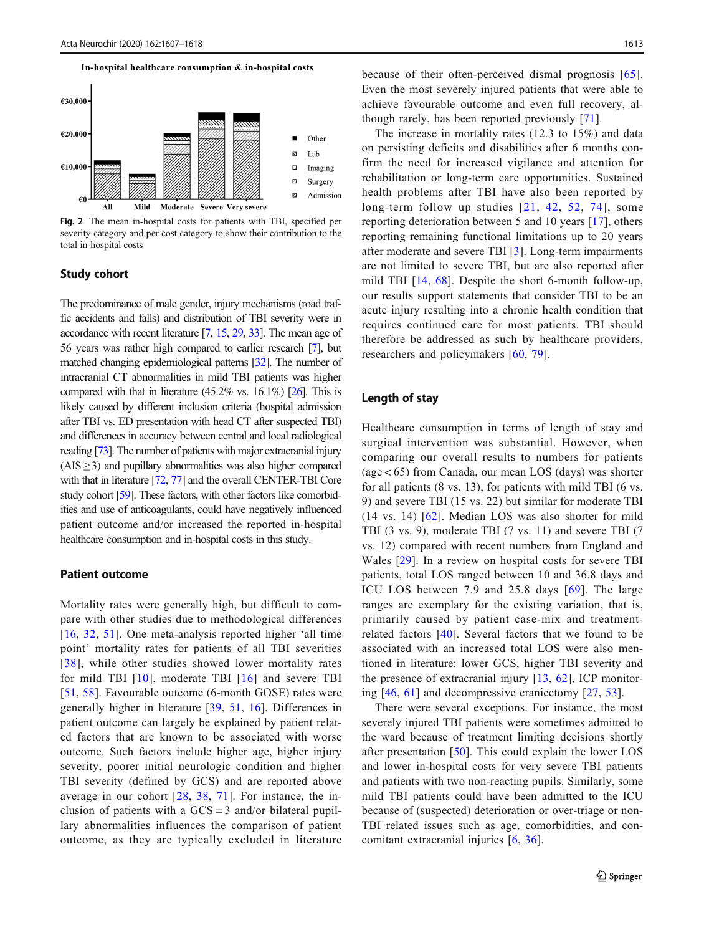<span id="page-6-0"></span>

Fig. 2 The mean in-hospital costs for patients with TBI, specified per severity category and per cost category to show their contribution to the total in-hospital costs

## Study cohort

The predominance of male gender, injury mechanisms (road traffic accidents and falls) and distribution of TBI severity were in accordance with recent literature [\[7](#page-8-0), [15,](#page-8-0) [29,](#page-9-0) [33\]](#page-9-0). The mean age of 56 years was rather high compared to earlier research [\[7](#page-8-0)], but matched changing epidemiological patterns [\[32](#page-9-0)]. The number of intracranial CT abnormalities in mild TBI patients was higher compared with that in literature  $(45.2\% \text{ vs. } 16.1\%)$  [\[26\]](#page-9-0). This is likely caused by different inclusion criteria (hospital admission after TBI vs. ED presentation with head CT after suspected TBI) and differences in accuracy between central and local radiological reading [[73\]](#page-11-0). The number of patients with major extracranial injury  $(AIS \geq 3)$  and pupillary abnormalities was also higher compared with that in literature [\[72](#page-10-0), [77\]](#page-11-0) and the overall CENTER-TBI Core study cohort [\[59](#page-10-0)]. These factors, with other factors like comorbidities and use of anticoagulants, could have negatively influenced patient outcome and/or increased the reported in-hospital healthcare consumption and in-hospital costs in this study.

# Patient outcome

Mortality rates were generally high, but difficult to compare with other studies due to methodological differences [\[16,](#page-8-0) [32](#page-9-0), [51\]](#page-10-0). One meta-analysis reported higher 'all time point' mortality rates for patients of all TBI severities [\[38\]](#page-9-0), while other studies showed lower mortality rates for mild TBI [[10\]](#page-8-0), moderate TBI [[16](#page-8-0)] and severe TBI [\[51,](#page-10-0) [58](#page-10-0)]. Favourable outcome (6-month GOSE) rates were generally higher in literature [\[39,](#page-9-0) [51](#page-10-0), [16\]](#page-8-0). Differences in patient outcome can largely be explained by patient related factors that are known to be associated with worse outcome. Such factors include higher age, higher injury severity, poorer initial neurologic condition and higher TBI severity (defined by GCS) and are reported above average in our cohort [\[28,](#page-9-0) [38,](#page-9-0) [71](#page-10-0)]. For instance, the inclusion of patients with a GCS = 3 and/or bilateral pupillary abnormalities influences the comparison of patient outcome, as they are typically excluded in literature because of their often-perceived dismal prognosis [[65](#page-10-0)]. Even the most severely injured patients that were able to achieve favourable outcome and even full recovery, although rarely, has been reported previously [[71\]](#page-10-0).

The increase in mortality rates (12.3 to 15%) and data on persisting deficits and disabilities after 6 months confirm the need for increased vigilance and attention for rehabilitation or long-term care opportunities. Sustained health problems after TBI have also been reported by long-term follow up studies [[21](#page-9-0), [42,](#page-10-0) [52,](#page-10-0) [74](#page-11-0)], some reporting deterioration between 5 and 10 years [[17](#page-8-0)], others reporting remaining functional limitations up to 20 years after moderate and severe TBI [[3\]](#page-8-0). Long-term impairments are not limited to severe TBI, but are also reported after mild TBI [[14](#page-8-0), [68\]](#page-10-0). Despite the short 6-month follow-up, our results support statements that consider TBI to be an acute injury resulting into a chronic health condition that requires continued care for most patients. TBI should therefore be addressed as such by healthcare providers, researchers and policymakers [[60,](#page-10-0) [79\]](#page-11-0).

## Length of stay

Healthcare consumption in terms of length of stay and surgical intervention was substantial. However, when comparing our overall results to numbers for patients (age < 65) from Canada, our mean LOS (days) was shorter for all patients (8 vs. 13), for patients with mild TBI (6 vs. 9) and severe TBI (15 vs. 22) but similar for moderate TBI (14 vs. 14) [[62](#page-10-0)]. Median LOS was also shorter for mild TBI (3 vs. 9), moderate TBI (7 vs. 11) and severe TBI (7 vs. 12) compared with recent numbers from England and Wales [\[29](#page-9-0)]. In a review on hospital costs for severe TBI patients, total LOS ranged between 10 and 36.8 days and ICU LOS between 7.9 and 25.8 days [[69\]](#page-10-0). The large ranges are exemplary for the existing variation, that is, primarily caused by patient case-mix and treatmentrelated factors [[40\]](#page-9-0). Several factors that we found to be associated with an increased total LOS were also mentioned in literature: lower GCS, higher TBI severity and the presence of extracranial injury [\[13](#page-8-0), [62\]](#page-10-0), ICP monitoring [[46,](#page-10-0) [61](#page-10-0)] and decompressive craniectomy [\[27](#page-9-0), [53\]](#page-10-0).

There were several exceptions. For instance, the most severely injured TBI patients were sometimes admitted to the ward because of treatment limiting decisions shortly after presentation [[50](#page-10-0)]. This could explain the lower LOS and lower in-hospital costs for very severe TBI patients and patients with two non-reacting pupils. Similarly, some mild TBI patients could have been admitted to the ICU because of (suspected) deterioration or over-triage or non-TBI related issues such as age, comorbidities, and concomitant extracranial injuries [\[6](#page-8-0), [36\]](#page-9-0).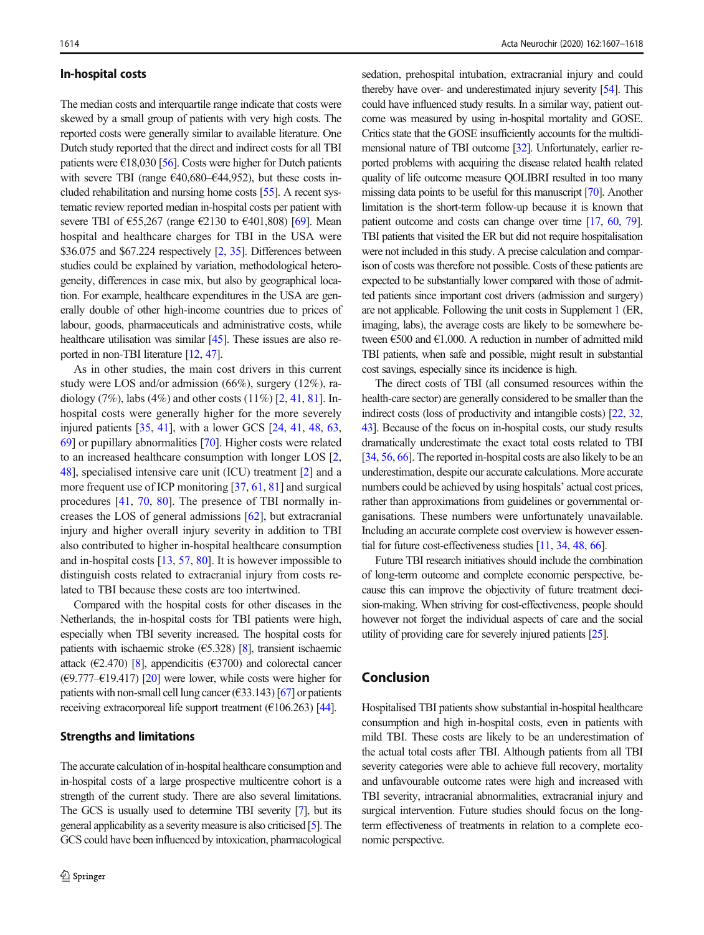### In-hospital costs

The median costs and interquartile range indicate that costs were skewed by a small group of patients with very high costs. The reported costs were generally similar to available literature. One Dutch study reported that the direct and indirect costs for all TBI patients were  $\epsilon$ 18,030 [\[56\]](#page-10-0). Costs were higher for Dutch patients with severe TBI (range  $\epsilon$ 40,680– $\epsilon$ 44,952), but these costs included rehabilitation and nursing home costs [[55](#page-10-0)]. A recent systematic review reported median in-hospital costs per patient with severe TBI of  $\epsilon$ 55,267 (range  $\epsilon$ 2130 to  $\epsilon$ 401,808) [[69\]](#page-10-0). Mean hospital and healthcare charges for TBI in the USA were \$36.075 and \$67.224 respectively [[2](#page-8-0), [35](#page-9-0)]. Differences between studies could be explained by variation, methodological heterogeneity, differences in case mix, but also by geographical location. For example, healthcare expenditures in the USA are generally double of other high-income countries due to prices of labour, goods, pharmaceuticals and administrative costs, while healthcare utilisation was similar [\[45\]](#page-10-0). These issues are also reported in non-TBI literature [[12](#page-8-0), [47](#page-10-0)].

As in other studies, the main cost drivers in this current study were LOS and/or admission (66%), surgery (12%), radiology (7%), labs (4%) and other costs (11%) [\[2,](#page-8-0) [41,](#page-9-0) [81](#page-11-0)]. Inhospital costs were generally higher for the more severely injured patients [[35,](#page-9-0) [41](#page-9-0)], with a lower GCS [[24](#page-9-0), [41,](#page-9-0) [48](#page-10-0), [63,](#page-10-0) [69\]](#page-10-0) or pupillary abnormalities [[70](#page-10-0)]. Higher costs were related to an increased healthcare consumption with longer LOS [[2,](#page-8-0) [48\]](#page-10-0), specialised intensive care unit (ICU) treatment [[2\]](#page-8-0) and a more frequent use of ICP monitoring [\[37](#page-9-0), [61,](#page-10-0) [81](#page-11-0)] and surgical procedures [[41](#page-9-0), [70](#page-10-0), [80](#page-11-0)]. The presence of TBI normally increases the LOS of general admissions [\[62\]](#page-10-0), but extracranial injury and higher overall injury severity in addition to TBI also contributed to higher in-hospital healthcare consumption and in-hospital costs  $[13, 57, 80]$  $[13, 57, 80]$  $[13, 57, 80]$  $[13, 57, 80]$  $[13, 57, 80]$ . It is however impossible to distinguish costs related to extracranial injury from costs related to TBI because these costs are too intertwined.

Compared with the hospital costs for other diseases in the Netherlands, the in-hospital costs for TBI patients were high, especially when TBI severity increased. The hospital costs for patients with ischaemic stroke  $(65.328)$  [\[8\]](#page-8-0), transient ischaemic attack ( $E2.470$ ) [\[8](#page-8-0)], appendicitis ( $E3700$ ) and colorectal cancer  $(\text{\textsterling}9.777 \text{\textcircleedash}17)$  [\[20\]](#page-9-0) were lower, while costs were higher for patients with non-small cell lung cancer ( $\epsilon$ 33.143) [\[67\]](#page-10-0) or patients receiving extracorporeal life support treatment ( $€106.263$ ) [\[44\]](#page-10-0).

### Strengths and limitations

The accurate calculation of in-hospital healthcare consumption and in-hospital costs of a large prospective multicentre cohort is a strength of the current study. There are also several limitations. The GCS is usually used to determine TBI severity [\[7\]](#page-8-0), but its general applicability as a severity measure is also criticised [\[5\]](#page-8-0). The GCS could have been influenced by intoxication, pharmacological

sedation, prehospital intubation, extracranial injury and could thereby have over- and underestimated injury severity [\[54\]](#page-10-0). This could have influenced study results. In a similar way, patient outcome was measured by using in-hospital mortality and GOSE. Critics state that the GOSE insufficiently accounts for the multidimensional nature of TBI outcome [\[32\]](#page-9-0). Unfortunately, earlier reported problems with acquiring the disease related health related quality of life outcome measure QOLIBRI resulted in too many missing data points to be useful for this manuscript [\[70\]](#page-10-0). Another limitation is the short-term follow-up because it is known that patient outcome and costs can change over time [\[17](#page-8-0), [60,](#page-10-0) [79\]](#page-11-0). TBI patients that visited the ER but did not require hospitalisation were not included in this study. A precise calculation and comparison of costs was therefore not possible. Costs of these patients are expected to be substantially lower compared with those of admitted patients since important cost drivers (admission and surgery) are not applicable. Following the unit costs in Supplement 1 (ER, imaging, labs), the average costs are likely to be somewhere between €500 and €1.000. A reduction in number of admitted mild TBI patients, when safe and possible, might result in substantial cost savings, especially since its incidence is high.

The direct costs of TBI (all consumed resources within the health-care sector) are generally considered to be smaller than the indirect costs (loss of productivity and intangible costs) [\[22](#page-9-0), [32,](#page-9-0) [43\]](#page-10-0). Because of the focus on in-hospital costs, our study results dramatically underestimate the exact total costs related to TBI [\[34](#page-9-0), [56](#page-10-0), [66\]](#page-10-0). The reported in-hospital costs are also likely to be an underestimation, despite our accurate calculations. More accurate numbers could be achieved by using hospitals' actual cost prices, rather than approximations from guidelines or governmental organisations. These numbers were unfortunately unavailable. Including an accurate complete cost overview is however essential for future cost-effectiveness studies [[11,](#page-8-0) [34](#page-9-0), [48](#page-10-0), [66\]](#page-10-0).

Future TBI research initiatives should include the combination of long-term outcome and complete economic perspective, because this can improve the objectivity of future treatment decision-making. When striving for cost-effectiveness, people should however not forget the individual aspects of care and the social utility of providing care for severely injured patients [\[25](#page-9-0)].

# Conclusion

Hospitalised TBI patients show substantial in-hospital healthcare consumption and high in-hospital costs, even in patients with mild TBI. These costs are likely to be an underestimation of the actual total costs after TBI. Although patients from all TBI severity categories were able to achieve full recovery, mortality and unfavourable outcome rates were high and increased with TBI severity, intracranial abnormalities, extracranial injury and surgical intervention. Future studies should focus on the longterm effectiveness of treatments in relation to a complete economic perspective.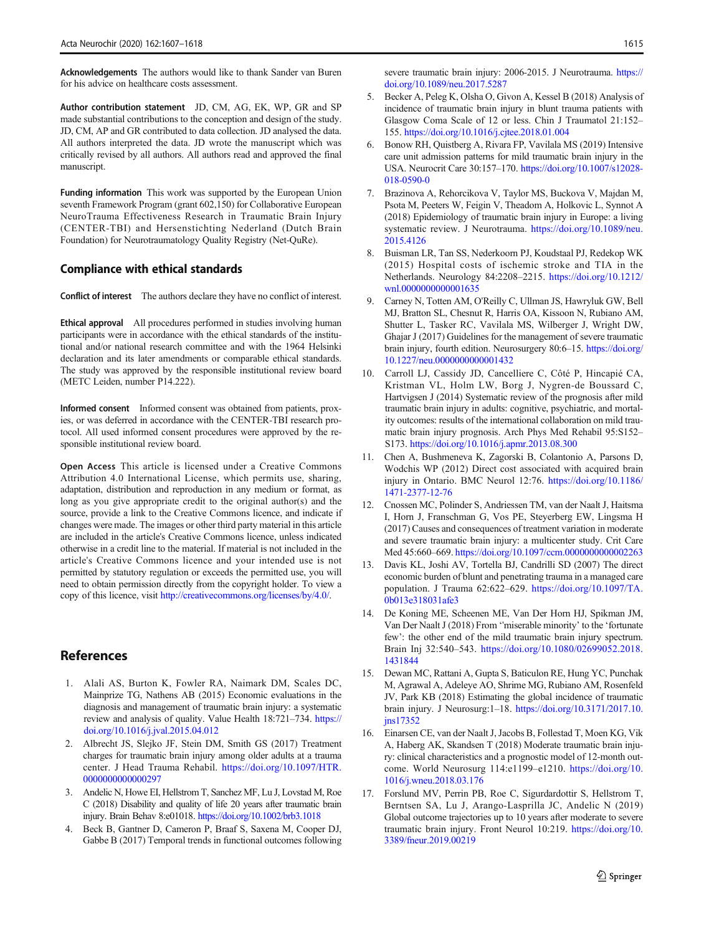<span id="page-8-0"></span>Acknowledgements The authors would like to thank Sander van Buren for his advice on healthcare costs assessment.

Author contribution statement JD, CM, AG, EK, WP, GR and SP made substantial contributions to the conception and design of the study. JD, CM, AP and GR contributed to data collection. JD analysed the data. All authors interpreted the data. JD wrote the manuscript which was critically revised by all authors. All authors read and approved the final manuscript.

Funding information This work was supported by the European Union seventh Framework Program (grant 602,150) for Collaborative European NeuroTrauma Effectiveness Research in Traumatic Brain Injury (CENTER-TBI) and Hersenstichting Nederland (Dutch Brain Foundation) for Neurotraumatology Quality Registry (Net-QuRe).

#### Compliance with ethical standards

Conflict of interest The authors declare they have no conflict of interest.

Ethical approval All procedures performed in studies involving human participants were in accordance with the ethical standards of the institutional and/or national research committee and with the 1964 Helsinki declaration and its later amendments or comparable ethical standards. The study was approved by the responsible institutional review board (METC Leiden, number P14.222).

Informed consent Informed consent was obtained from patients, proxies, or was deferred in accordance with the CENTER-TBI research protocol. All used informed consent procedures were approved by the responsible institutional review board.

Open Access This article is licensed under a Creative Commons Attribution 4.0 International License, which permits use, sharing, adaptation, distribution and reproduction in any medium or format, as long as you give appropriate credit to the original author(s) and the source, provide a link to the Creative Commons licence, and indicate if changes were made. The images or other third party material in this article are included in the article's Creative Commons licence, unless indicated otherwise in a credit line to the material. If material is not included in the article's Creative Commons licence and your intended use is not permitted by statutory regulation or exceeds the permitted use, you will need to obtain permission directly from the copyright holder. To view a copy of this licence, visit [http://creativecommons.org/licenses/by/4.0/.](http://creativecommons.org/licenses/by/4.0/)

# References

- 1. Alali AS, Burton K, Fowler RA, Naimark DM, Scales DC, Mainprize TG, Nathens AB (2015) Economic evaluations in the diagnosis and management of traumatic brain injury: a systematic review and analysis of quality. Value Health 18:721–734. [https://](https://doi.org/10.1016/j.jval.2015.04.012) [doi.org/10.1016/j.jval.2015.04.012](https://doi.org/10.1016/j.jval.2015.04.012)
- 2. Albrecht JS, Slejko JF, Stein DM, Smith GS (2017) Treatment charges for traumatic brain injury among older adults at a trauma center. J Head Trauma Rehabil. [https://doi.org/10.1097/HTR.](https://doi.org/10.1097/HTR.0000000000000297) [0000000000000297](https://doi.org/10.1097/HTR.0000000000000297)
- 3. Andelic N, Howe EI, Hellstrom T, Sanchez MF, Lu J, Lovstad M, Roe C (2018) Disability and quality of life 20 years after traumatic brain injury. Brain Behav 8:e01018. <https://doi.org/10.1002/brb3.1018>
- 4. Beck B, Gantner D, Cameron P, Braaf S, Saxena M, Cooper DJ, Gabbe B (2017) Temporal trends in functional outcomes following

severe traumatic brain injury: 2006-2015. J Neurotrauma. [https://](https://doi.org/10.1089/neu.2017.5287) [doi.org/10.1089/neu.2017.5287](https://doi.org/10.1089/neu.2017.5287)

- 5. Becker A, Peleg K, Olsha O, Givon A, Kessel B (2018) Analysis of incidence of traumatic brain injury in blunt trauma patients with Glasgow Coma Scale of 12 or less. Chin J Traumatol 21:152– 155. [https://doi.org/10.1016/j.cjtee.2018.01.004](http://creativecommons.org/licenses/by/4.0/)
- 6. Bonow RH, Quistberg A, Rivara FP, Vavilala MS (2019) Intensive care unit admission patterns for mild traumatic brain injury in the USA. Neurocrit Care 30:157–170. [https://doi.org/10.1007/s12028-](https://doi.org/10.1007/s12028-018-0590-0) [018-0590-0](https://doi.org/10.1007/s12028-018-0590-0)
- 7. Brazinova A, Rehorcikova V, Taylor MS, Buckova V, Majdan M, Psota M, Peeters W, Feigin V, Theadom A, Holkovic L, Synnot A (2018) Epidemiology of traumatic brain injury in Europe: a living systematic review. J Neurotrauma. [https://doi.org/10.1089/neu.](https://doi.org/10.1089/neu.2015.4126) [2015.4126](https://doi.org/10.1089/neu.2015.4126)
- 8. Buisman LR, Tan SS, Nederkoorn PJ, Koudstaal PJ, Redekop WK (2015) Hospital costs of ischemic stroke and TIA in the Netherlands. Neurology 84:2208–2215. [https://doi.org/10.1212/](https://doi.org/10.1212/wnl.0000000000001635) [wnl.0000000000001635](https://doi.org/10.1212/wnl.0000000000001635)
- 9. Carney N, Totten AM, O'Reilly C, Ullman JS, Hawryluk GW, Bell MJ, Bratton SL, Chesnut R, Harris OA, Kissoon N, Rubiano AM, Shutter L, Tasker RC, Vavilala MS, Wilberger J, Wright DW, Ghajar J (2017) Guidelines for the management of severe traumatic brain injury, fourth edition. Neurosurgery 80:6–15. [https://doi.org/](https://doi.org/10.1227/neu.0000000000001432) [10.1227/neu.0000000000001432](https://doi.org/10.1227/neu.0000000000001432)
- 10. Carroll LJ, Cassidy JD, Cancelliere C, Côté P, Hincapié CA, Kristman VL, Holm LW, Borg J, Nygren-de Boussard C, Hartvigsen J (2014) Systematic review of the prognosis after mild traumatic brain injury in adults: cognitive, psychiatric, and mortality outcomes: results of the international collaboration on mild traumatic brain injury prognosis. Arch Phys Med Rehabil 95:S152– S173. <https://doi.org/10.1016/j.apmr.2013.08.300>
- 11. Chen A, Bushmeneva K, Zagorski B, Colantonio A, Parsons D, Wodchis WP (2012) Direct cost associated with acquired brain injury in Ontario. BMC Neurol 12:76. [https://doi.org/10.1186/](https://doi.org/10.1186/1471-2377-12-76) [1471-2377-12-76](https://doi.org/10.1186/1471-2377-12-76)
- 12. Cnossen MC, Polinder S, Andriessen TM, van der Naalt J, Haitsma I, Horn J, Franschman G, Vos PE, Steyerberg EW, Lingsma H (2017) Causes and consequences of treatment variation in moderate and severe traumatic brain injury: a multicenter study. Crit Care Med 45:660–669. <https://doi.org/10.1097/ccm.0000000000002263>
- 13. Davis KL, Joshi AV, Tortella BJ, Candrilli SD (2007) The direct economic burden of blunt and penetrating trauma in a managed care population. J Trauma 62:622–629. [https://doi.org/10.1097/TA.](https://doi.org/10.1097/TA.0b013e318031afe3) [0b013e318031afe3](https://doi.org/10.1097/TA.0b013e318031afe3)
- 14. De Koning ME, Scheenen ME, Van Der Horn HJ, Spikman JM, Van Der Naalt J (2018) From ''miserable minority' to the 'fortunate few': the other end of the mild traumatic brain injury spectrum. Brain Inj 32:540–543. [https://doi.org/10.1080/02699052.2018.](https://doi.org/10.1080/02699052.2018.1431844) [1431844](https://doi.org/10.1080/02699052.2018.1431844)
- 15. Dewan MC, Rattani A, Gupta S, Baticulon RE, Hung YC, Punchak M, Agrawal A, Adeleye AO, Shrime MG, Rubiano AM, Rosenfeld JV, Park KB (2018) Estimating the global incidence of traumatic brain injury. J Neurosurg:1–18. [https://doi.org/10.3171/2017.10.](https://doi.org/10.3171/2017.10.jns17352) [jns17352](https://doi.org/10.3171/2017.10.jns17352)
- 16. Einarsen CE, van der Naalt J, Jacobs B, Follestad T, Moen KG, Vik A, Haberg AK, Skandsen T (2018) Moderate traumatic brain injury: clinical characteristics and a prognostic model of 12-month outcome. World Neurosurg 114:e1199–e1210. [https://doi.org/10.](https://doi.org/10.1016/j.wneu.2018.03.176) [1016/j.wneu.2018.03.176](https://doi.org/10.1016/j.wneu.2018.03.176)
- 17. Forslund MV, Perrin PB, Roe C, Sigurdardottir S, Hellstrom T, Berntsen SA, Lu J, Arango-Lasprilla JC, Andelic N (2019) Global outcome trajectories up to 10 years after moderate to severe traumatic brain injury. Front Neurol 10:219. [https://doi.org/10.](https://doi.org/10.3389/fneur.2019.00219) [3389/fneur.2019.00219](https://doi.org/10.3389/fneur.2019.00219)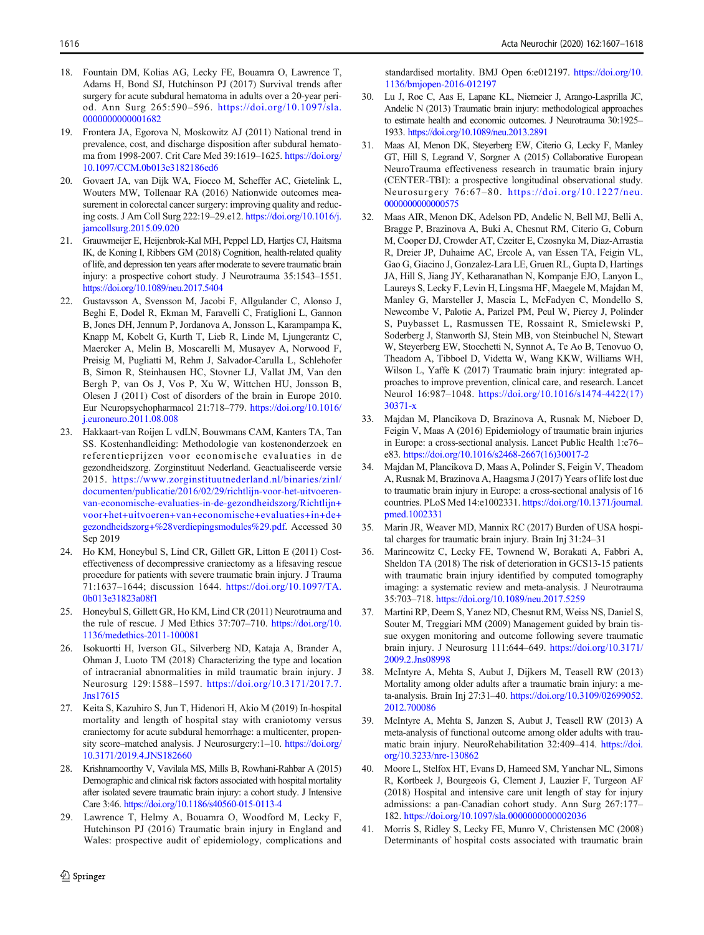- <span id="page-9-0"></span>18. Fountain DM, Kolias AG, Lecky FE, Bouamra O, Lawrence T, Adams H, Bond SJ, Hutchinson PJ (2017) Survival trends after surgery for acute subdural hematoma in adults over a 20-year period. Ann Surg 265:590–596. [https://doi.org/10.1097/sla.](https://doi.org/10.1097/sla.0000000000001682) [0000000000001682](https://doi.org/10.1097/sla.0000000000001682)
- 19. Frontera JA, Egorova N, Moskowitz AJ (2011) National trend in prevalence, cost, and discharge disposition after subdural hematoma from 1998-2007. Crit Care Med 39:1619–1625. [https://doi.org/](https://doi.org/10.1097/CCM.0b013e3182186ed6) [10.1097/CCM.0b013e3182186ed6](https://doi.org/10.1097/CCM.0b013e3182186ed6)
- 20. Govaert JA, van Dijk WA, Fiocco M, Scheffer AC, Gietelink L, Wouters MW, Tollenaar RA (2016) Nationwide outcomes measurement in colorectal cancer surgery: improving quality and reducing costs. J Am Coll Surg 222:19–29.e12. [https://doi.org/10.1016/j.](https://doi.org/10.1016/j.jamcollsurg.2015.09.020) [jamcollsurg.2015.09.020](https://doi.org/10.1016/j.jamcollsurg.2015.09.020)
- 21. Grauwmeijer E, Heijenbrok-Kal MH, Peppel LD, Hartjes CJ, Haitsma IK, de Koning I, Ribbers GM (2018) Cognition, health-related quality of life, and depression ten years after moderate to severe traumatic brain injury: a prospective cohort study. J Neurotrauma 35:1543–1551. <https://doi.org/10.1089/neu.2017.5404>
- 22. Gustavsson A, Svensson M, Jacobi F, Allgulander C, Alonso J, Beghi E, Dodel R, Ekman M, Faravelli C, Fratiglioni L, Gannon B, Jones DH, Jennum P, Jordanova A, Jonsson L, Karampampa K, Knapp M, Kobelt G, Kurth T, Lieb R, Linde M, Ljungcrantz C, Maercker A, Melin B, Moscarelli M, Musayev A, Norwood F, Preisig M, Pugliatti M, Rehm J, Salvador-Carulla L, Schlehofer B, Simon R, Steinhausen HC, Stovner LJ, Vallat JM, Van den Bergh P, van Os J, Vos P, Xu W, Wittchen HU, Jonsson B, Olesen J (2011) Cost of disorders of the brain in Europe 2010. Eur Neuropsychopharmacol 21:718–779. [https://doi.org/10.1016/](https://doi.org/10.1016/j.euroneuro.2011.08.008) [j.euroneuro.2011.08.008](https://doi.org/10.1016/j.euroneuro.2011.08.008)
- 23. Hakkaart-van Roijen L vdLN, Bouwmans CAM, Kanters TA, Tan SS. Kostenhandleiding: Methodologie van kostenonderzoek en referentieprijzen voor economische evaluaties in de gezondheidszorg. Zorginstituut Nederland. Geactualiseerde versie 2015. [https://www.zorginstituutnederland.nl/binaries/zinl/](http://creativecommons.org/licenses/by/4.0/) [documenten/publicatie/2016/02/29/richtlijn-voor-het-uitvoeren](http://creativecommons.org/licenses/by/4.0/)[van-economische-evaluaties-in-de-gezondheidszorg/Richtlijn+](http://creativecommons.org/licenses/by/4.0/) [voor+het+uitvoeren+van+economische+evaluaties+in+de+](http://creativecommons.org/licenses/by/4.0/) [gezondheidszorg+%28verdiepingsmodules%29.pdf](http://creativecommons.org/licenses/by/4.0/). Accessed 30 Sep 2019
- 24. Ho KM, Honeybul S, Lind CR, Gillett GR, Litton E (2011) Costeffectiveness of decompressive craniectomy as a lifesaving rescue procedure for patients with severe traumatic brain injury. J Trauma 71:1637–1644; discussion 1644. [https://doi.org/10.1097/TA.](https://doi.org/10.1097/TA.0b013e31823a08f1) [0b013e31823a08f1](https://doi.org/10.1097/TA.0b013e31823a08f1)
- 25. Honeybul S, Gillett GR, Ho KM, Lind CR (2011) Neurotrauma and the rule of rescue. J Med Ethics 37:707–710. [https://doi.org/10.](https://doi.org/10.1136/medethics-2011-100081) [1136/medethics-2011-100081](https://doi.org/10.1136/medethics-2011-100081)
- 26. Isokuortti H, Iverson GL, Silverberg ND, Kataja A, Brander A, Ohman J, Luoto TM (2018) Characterizing the type and location of intracranial abnormalities in mild traumatic brain injury. J Neurosurg 129:1588–1597. [https://doi.org/10.3171/2017.7.](https://doi.org/10.3171/2017.7.Jns17615) [Jns17615](https://doi.org/10.3171/2017.7.Jns17615)
- 27. Keita S, Kazuhiro S, Jun T, Hidenori H, Akio M (2019) In-hospital mortality and length of hospital stay with craniotomy versus craniectomy for acute subdural hemorrhage: a multicenter, propensity score–matched analysis. J Neurosurgery:1–10. [https://doi.org/](https://doi.org/10.3171/2019.4.JNS182660) [10.3171/2019.4.JNS182660](https://doi.org/10.3171/2019.4.JNS182660)
- 28. Krishnamoorthy V, Vavilala MS, Mills B, Rowhani-Rahbar A (2015) Demographic and clinical risk factors associated with hospital mortality after isolated severe traumatic brain injury: a cohort study. J Intensive Care 3:46. <https://doi.org/10.1186/s40560-015-0113-4>
- 29. Lawrence T, Helmy A, Bouamra O, Woodford M, Lecky F, Hutchinson PJ (2016) Traumatic brain injury in England and Wales: prospective audit of epidemiology, complications and

standardised mortality. BMJ Open 6:e012197. [https://doi.org/10.](https://doi.org/10.1136/bmjopen-2016-012197) [1136/bmjopen-2016-012197](https://doi.org/10.1136/bmjopen-2016-012197)

- 30. Lu J, Roe C, Aas E, Lapane KL, Niemeier J, Arango-Lasprilla JC, Andelic N (2013) Traumatic brain injury: methodological approaches to estimate health and economic outcomes. J Neurotrauma 30:1925– 1933. <https://doi.org/10.1089/neu.2013.2891>
- 31. Maas AI, Menon DK, Steyerberg EW, Citerio G, Lecky F, Manley GT, Hill S, Legrand V, Sorgner A (2015) Collaborative European NeuroTrauma effectiveness research in traumatic brain injury (CENTER-TBI): a prospective longitudinal observational study. Neurosurgery 76:67–80. [https://doi.org/10.1227/neu.](https://doi.org/10.1227/neu.0000000000000575) [0000000000000575](https://doi.org/10.1227/neu.0000000000000575)
- 32. Maas AIR, Menon DK, Adelson PD, Andelic N, Bell MJ, Belli A, Bragge P, Brazinova A, Buki A, Chesnut RM, Citerio G, Coburn M, Cooper DJ, Crowder AT, Czeiter E, Czosnyka M, Diaz-Arrastia R, Dreier JP, Duhaime AC, Ercole A, van Essen TA, Feigin VL, Gao G, Giacino J, Gonzalez-Lara LE, Gruen RL, Gupta D, Hartings JA, Hill S, Jiang JY, Ketharanathan N, Kompanje EJO, Lanyon L, Laureys S, Lecky F, Levin H, Lingsma HF, Maegele M, Majdan M, Manley G, Marsteller J, Mascia L, McFadyen C, Mondello S, Newcombe V, Palotie A, Parizel PM, Peul W, Piercy J, Polinder S, Puybasset L, Rasmussen TE, Rossaint R, Smielewski P, Soderberg J, Stanworth SJ, Stein MB, von Steinbuchel N, Stewart W, Steyerberg EW, Stocchetti N, Synnot A, Te Ao B, Tenovuo O, Theadom A, Tibboel D, Videtta W, Wang KKW, Williams WH, Wilson L, Yaffe K (2017) Traumatic brain injury: integrated approaches to improve prevention, clinical care, and research. Lancet Neurol 16:987–1048. [https://doi.org/10.1016/s1474-4422\(17\)](https://doi.org/10.1016/s1474-4422(17)30371-x) [30371-x](https://doi.org/10.1016/s1474-4422(17)30371-x)
- 33. Majdan M, Plancikova D, Brazinova A, Rusnak M, Nieboer D, Feigin V, Maas A (2016) Epidemiology of traumatic brain injuries in Europe: a cross-sectional analysis. Lancet Public Health 1:e76– e83. [https://doi.org/10.1016/s2468-2667\(16\)30017-2](https://doi.org/10.1016/s2468-2667(16)30017-2)
- 34. Majdan M, Plancikova D, Maas A, Polinder S, Feigin V, Theadom A, Rusnak M, Brazinova A, Haagsma J (2017) Years of life lost due to traumatic brain injury in Europe: a cross-sectional analysis of 16 countries. PLoS Med 14:e1002331. [https://doi.org/10.1371/journal.](https://doi.org/10.1371/journal.pmed.1002331) [pmed.1002331](https://doi.org/10.1371/journal.pmed.1002331)
- 35. Marin JR, Weaver MD, Mannix RC (2017) Burden of USA hospital charges for traumatic brain injury. Brain Inj 31:24–31
- 36. Marincowitz C, Lecky FE, Townend W, Borakati A, Fabbri A, Sheldon TA (2018) The risk of deterioration in GCS13-15 patients with traumatic brain injury identified by computed tomography imaging: a systematic review and meta-analysis. J Neurotrauma 35:703–718. <https://doi.org/10.1089/neu.2017.5259>
- 37. Martini RP, Deem S, Yanez ND, Chesnut RM, Weiss NS, Daniel S, Souter M, Treggiari MM (2009) Management guided by brain tissue oxygen monitoring and outcome following severe traumatic brain injury. J Neurosurg 111:644–649. [https://doi.org/10.3171/](https://doi.org/10.3171/2009.2.Jns08998) [2009.2.Jns08998](https://doi.org/10.3171/2009.2.Jns08998)
- 38. McIntyre A, Mehta S, Aubut J, Dijkers M, Teasell RW (2013) Mortality among older adults after a traumatic brain injury: a meta-analysis. Brain Inj 27:31–40. [https://doi.org/10.3109/02699052.](https://doi.org/10.3109/02699052.2012.700086) [2012.700086](https://doi.org/10.3109/02699052.2012.700086)
- 39. McIntyre A, Mehta S, Janzen S, Aubut J, Teasell RW (2013) A meta-analysis of functional outcome among older adults with traumatic brain injury. NeuroRehabilitation 32:409–414. [https://doi.](https://doi.org/10.3233/nre-130862) [org/10.3233/nre-130862](https://doi.org/10.3233/nre-130862)
- Moore L, Stelfox HT, Evans D, Hameed SM, Yanchar NL, Simons R, Kortbeek J, Bourgeois G, Clement J, Lauzier F, Turgeon AF (2018) Hospital and intensive care unit length of stay for injury admissions: a pan-Canadian cohort study. Ann Surg 267:177– 182. <https://doi.org/10.1097/sla.0000000000002036>
- 41. Morris S, Ridley S, Lecky FE, Munro V, Christensen MC (2008) Determinants of hospital costs associated with traumatic brain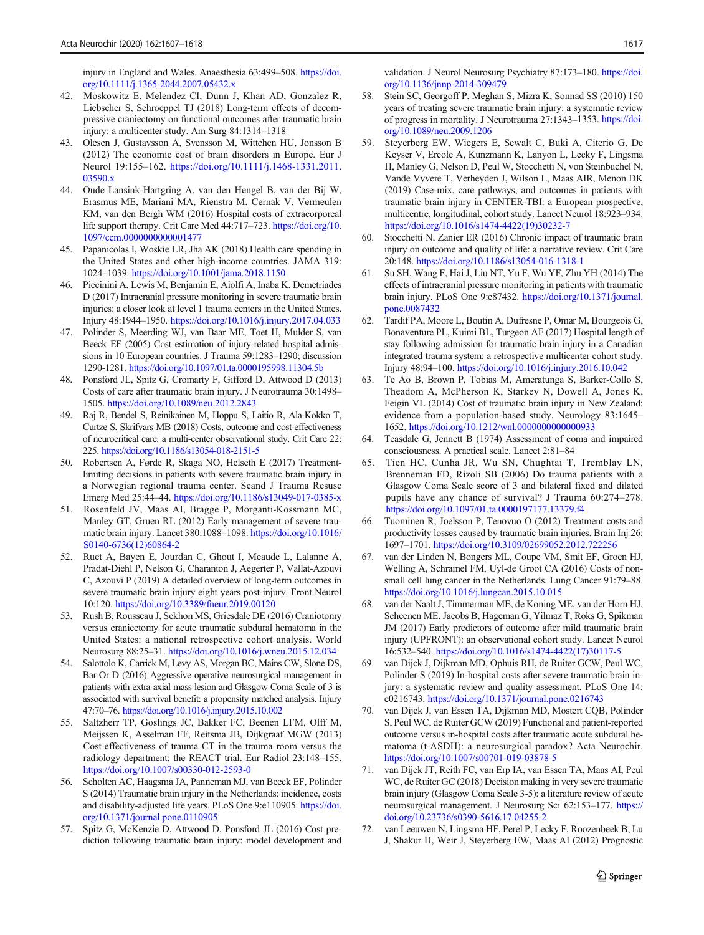<span id="page-10-0"></span>injury in England and Wales. Anaesthesia 63:499–508. [https://doi.](https://doi.org/10.1111/j.1365-2044.2007.05432.x) [org/10.1111/j.1365-2044.2007.05432.x](https://doi.org/10.1111/j.1365-2044.2007.05432.x)

- 42. Moskowitz E, Melendez CI, Dunn J, Khan AD, Gonzalez R, Liebscher S, Schroeppel TJ (2018) Long-term effects of decompressive craniectomy on functional outcomes after traumatic brain injury: a multicenter study. Am Surg 84:1314–1318
- 43. Olesen J, Gustavsson A, Svensson M, Wittchen HU, Jonsson B (2012) The economic cost of brain disorders in Europe. Eur J Neurol 19:155–162. [https://doi.org/10.1111/j.1468-1331.2011.](https://doi.org/10.1111/j.1468-1331.2011.03590.x) 03590 x
- 44. Oude Lansink-Hartgring A, van den Hengel B, van der Bij W, Erasmus ME, Mariani MA, Rienstra M, Cernak V, Vermeulen KM, van den Bergh WM (2016) Hospital costs of extracorporeal life support therapy. Crit Care Med 44:717–723. [https://doi.org/10.](https://doi.org/10.1097/ccm.0000000000001477) [1097/ccm.0000000000001477](https://doi.org/10.1097/ccm.0000000000001477)
- 45. Papanicolas I, Woskie LR, Jha AK (2018) Health care spending in the United States and other high-income countries. JAMA 319: 1024–1039. <https://doi.org/10.1001/jama.2018.1150>
- 46. Piccinini A, Lewis M, Benjamin E, Aiolfi A, Inaba K, Demetriades D (2017) Intracranial pressure monitoring in severe traumatic brain injuries: a closer look at level 1 trauma centers in the United States. Injury 48:1944–1950. <https://doi.org/10.1016/j.injury.2017.04.033>
- 47. Polinder S, Meerding WJ, van Baar ME, Toet H, Mulder S, van Beeck EF (2005) Cost estimation of injury-related hospital admissions in 10 European countries. J Trauma 59:1283–1290; discussion 1290-1281. <https://doi.org/10.1097/01.ta.0000195998.11304.5b>
- Ponsford JL, Spitz G, Cromarty F, Gifford D, Attwood D (2013) Costs of care after traumatic brain injury. J Neurotrauma 30:1498– 1505. <https://doi.org/10.1089/neu.2012.2843>
- 49. Raj R, Bendel S, Reinikainen M, Hoppu S, Laitio R, Ala-Kokko T, Curtze S, Skrifvars MB (2018) Costs, outcome and cost-effectiveness of neurocritical care: a multi-center observational study. Crit Care 22: 225. <https://doi.org/10.1186/s13054-018-2151-5>
- 50. Robertsen A, Førde R, Skaga NO, Helseth E (2017) Treatmentlimiting decisions in patients with severe traumatic brain injury in a Norwegian regional trauma center. Scand J Trauma Resusc Emerg Med 25:44–44. <https://doi.org/10.1186/s13049-017-0385-x>
- 51. Rosenfeld JV, Maas AI, Bragge P, Morganti-Kossmann MC, Manley GT, Gruen RL (2012) Early management of severe traumatic brain injury. Lancet 380:1088–1098. [https://doi.org/10.1016/](https://doi.org/10.1016/S0140-6736(12)60864-2) [S0140-6736\(12\)60864-2](https://doi.org/10.1016/S0140-6736(12)60864-2)
- 52. Ruet A, Bayen E, Jourdan C, Ghout I, Meaude L, Lalanne A, Pradat-Diehl P, Nelson G, Charanton J, Aegerter P, Vallat-Azouvi C, Azouvi P (2019) A detailed overview of long-term outcomes in severe traumatic brain injury eight years post-injury. Front Neurol 10:120. <https://doi.org/10.3389/fneur.2019.00120>
- 53. Rush B, Rousseau J, Sekhon MS, Griesdale DE (2016) Craniotomy versus craniectomy for acute traumatic subdural hematoma in the United States: a national retrospective cohort analysis. World Neurosurg 88:25–31. <https://doi.org/10.1016/j.wneu.2015.12.034>
- 54. Salottolo K, Carrick M, Levy AS, Morgan BC, Mains CW, Slone DS, Bar-Or D (2016) Aggressive operative neurosurgical management in patients with extra-axial mass lesion and Glasgow Coma Scale of 3 is associated with survival benefit: a propensity matched analysis. Injury 47:70–76. <https://doi.org/10.1016/j.injury.2015.10.002>
- 55. Saltzherr TP, Goslings JC, Bakker FC, Beenen LFM, Olff M, Meijssen K, Asselman FF, Reitsma JB, Dijkgraaf MGW (2013) Cost-effectiveness of trauma CT in the trauma room versus the radiology department: the REACT trial. Eur Radiol 23:148–155. <https://doi.org/10.1007/s00330-012-2593-0>
- 56. Scholten AC, Haagsma JA, Panneman MJ, van Beeck EF, Polinder S (2014) Traumatic brain injury in the Netherlands: incidence, costs and disability-adjusted life years. PLoS One 9:e110905. [https://doi.](https://doi.org/10.1371/journal.pone.0110905) [org/10.1371/journal.pone.0110905](https://doi.org/10.1371/journal.pone.0110905)
- 57. Spitz G, McKenzie D, Attwood D, Ponsford JL (2016) Cost prediction following traumatic brain injury: model development and

validation. J Neurol Neurosurg Psychiatry 87:173-180. [https://doi.](https://doi.org/10.1136/jnnp-2014-309479) [org/10.1136/jnnp-2014-309479](https://doi.org/10.1136/jnnp-2014-309479)

- 58. Stein SC, Georgoff P, Meghan S, Mizra K, Sonnad SS (2010) 150 years of treating severe traumatic brain injury: a systematic review of progress in mortality. J Neurotrauma 27:1343–1353. [https://doi.](https://doi.org/10.1089/neu.2009.1206) [org/10.1089/neu.2009.1206](https://doi.org/10.1089/neu.2009.1206)
- Steyerberg EW, Wiegers E, Sewalt C, Buki A, Citerio G, De Keyser V, Ercole A, Kunzmann K, Lanyon L, Lecky F, Lingsma H, Manley G, Nelson D, Peul W, Stocchetti N, von Steinbuchel N, Vande Vyvere T, Verheyden J, Wilson L, Maas AIR, Menon DK (2019) Case-mix, care pathways, and outcomes in patients with traumatic brain injury in CENTER-TBI: a European prospective, multicentre, longitudinal, cohort study. Lancet Neurol 18:923–934. [https://doi.org/10.1016/s1474-4422\(19\)30232-7](https://doi.org/10.1016/s1474-4422(19)30232-7)
- 60. Stocchetti N, Zanier ER (2016) Chronic impact of traumatic brain injury on outcome and quality of life: a narrative review. Crit Care 20:148. <https://doi.org/10.1186/s13054-016-1318-1>
- 61. Su SH, Wang F, Hai J, Liu NT, Yu F, Wu YF, Zhu YH (2014) The effects of intracranial pressure monitoring in patients with traumatic brain injury. PLoS One 9:e87432. [https://doi.org/10.1371/journal.](https://doi.org/10.1371/journal.pone.0087432) [pone.0087432](https://doi.org/10.1371/journal.pone.0087432)
- 62. Tardif PA, Moore L, Boutin A, Dufresne P, Omar M, Bourgeois G, Bonaventure PL, Kuimi BL, Turgeon AF (2017) Hospital length of stay following admission for traumatic brain injury in a Canadian integrated trauma system: a retrospective multicenter cohort study. Injury 48:94–100. <https://doi.org/10.1016/j.injury.2016.10.042>
- 63. Te Ao B, Brown P, Tobias M, Ameratunga S, Barker-Collo S, Theadom A, McPherson K, Starkey N, Dowell A, Jones K, Feigin VL (2014) Cost of traumatic brain injury in New Zealand: evidence from a population-based study. Neurology 83:1645– 1652. <https://doi.org/10.1212/wnl.0000000000000933>
- 64. Teasdale G, Jennett B (1974) Assessment of coma and impaired consciousness. A practical scale. Lancet 2:81–84
- 65. Tien HC, Cunha JR, Wu SN, Chughtai T, Tremblay LN, Brenneman FD, Rizoli SB (2006) Do trauma patients with a Glasgow Coma Scale score of 3 and bilateral fixed and dilated pupils have any chance of survival? J Trauma 60:274–278. <https://doi.org/10.1097/01.ta.0000197177.13379.f4>
- 66. Tuominen R, Joelsson P, Tenovuo O (2012) Treatment costs and productivity losses caused by traumatic brain injuries. Brain Inj 26: 1697–1701. <https://doi.org/10.3109/02699052.2012.722256>
- van der Linden N, Bongers ML, Coupe VM, Smit EF, Groen HJ, Welling A, Schramel FM, Uyl-de Groot CA (2016) Costs of nonsmall cell lung cancer in the Netherlands. Lung Cancer 91:79–88. <https://doi.org/10.1016/j.lungcan.2015.10.015>
- van der Naalt J, Timmerman ME, de Koning ME, van der Horn HJ, Scheenen ME, Jacobs B, Hageman G, Yilmaz T, Roks G, Spikman JM (2017) Early predictors of outcome after mild traumatic brain injury (UPFRONT): an observational cohort study. Lancet Neurol 16:532–540. [https://doi.org/10.1016/s1474-4422\(17\)30117-5](https://doi.org/10.1016/s1474-4422(17)30117-5)
- 69. van Dijck J, Dijkman MD, Ophuis RH, de Ruiter GCW, Peul WC, Polinder S (2019) In-hospital costs after severe traumatic brain injury: a systematic review and quality assessment. PLoS One 14: e0216743. <https://doi.org/10.1371/journal.pone.0216743>
- 70. van Dijck J, van Essen TA, Dijkman MD, Mostert CQB, Polinder S, Peul WC, de Ruiter GCW (2019) Functional and patient-reported outcome versus in-hospital costs after traumatic acute subdural hematoma (t-ASDH): a neurosurgical paradox? Acta Neurochir. <https://doi.org/10.1007/s00701-019-03878-5>
- 71. van Dijck JT, Reith FC, van Erp IA, van Essen TA, Maas AI, Peul WC, de Ruiter GC (2018) Decision making in very severe traumatic brain injury (Glasgow Coma Scale 3-5): a literature review of acute neurosurgical management. J Neurosurg Sci 62:153–177. [https://](https://doi.org/10.23736/s0390-5616.17.04255-2) [doi.org/10.23736/s0390-5616.17.04255-2](https://doi.org/10.23736/s0390-5616.17.04255-2)
- 72. van Leeuwen N, Lingsma HF, Perel P, Lecky F, Roozenbeek B, Lu J, Shakur H, Weir J, Steyerberg EW, Maas AI (2012) Prognostic